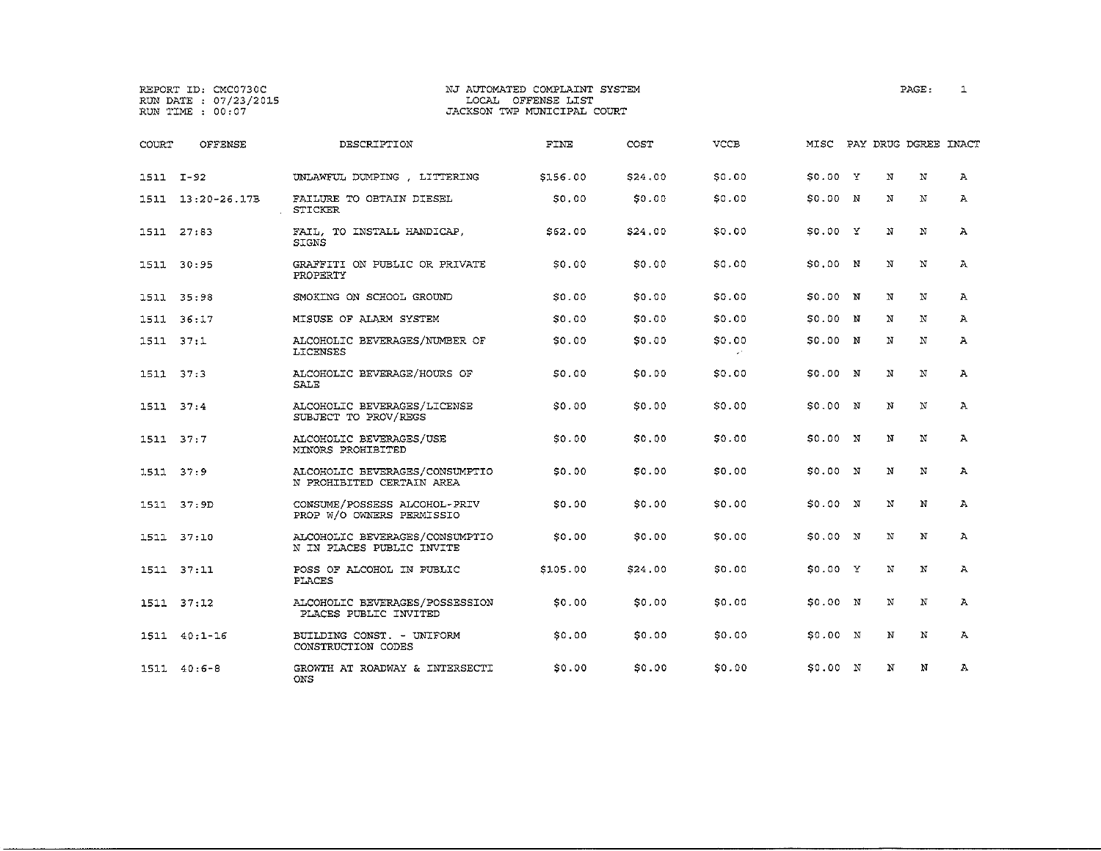ONS

# REPORT ID: CMC0730C NJ AUTOMATED COMPLAINT SYSTEM PAGE: l RUN DATE : 07/23/2015 LOCAL OFFENSE LIST<br>RUN TIME : 00:07 RUN DACKSON TWP MUNICIPAL COURT

| COURT     | OFFENSE           | DESCRIPTION                                                 | FINE     | COST    | <b>VCCB</b> |          |   |            | MISC PAY DRUG DGREE INACT |              |
|-----------|-------------------|-------------------------------------------------------------|----------|---------|-------------|----------|---|------------|---------------------------|--------------|
| 1511 I-92 |                   | UNLAWFUL DUMPING, LITTERING                                 | \$156.00 | \$24.00 | \$0.00      | \$0.00 Y |   | $_{\rm N}$ | $\mathbf N$               | А            |
|           | 1511 13:20-26.17B | FAILURE TO OBTAIN DIESEL<br><b>STICKER</b>                  | \$0.00   | \$0.00  | \$0.00      | \$0.00 N |   | N          | N                         | $\mathbf{A}$ |
|           | 1511 27:83        | FAIL, TO INSTALL HANDICAP,<br>SIGNS                         | \$62.00  | \$24,00 | \$0.00      | S0.00 Y  |   | N          | N                         | $\mathbf{A}$ |
|           | 1511 30:95        | GRAFFITI ON PUBLIC OR PRIVATE<br>PROPERTY                   | 50.00    | \$0.00  | \$0.00      | \$0.00 N |   | N          | N                         | A            |
|           | 1511 35:98        | SMOKING ON SCHOOL GROUND                                    | SO.00    | \$0.00  | \$0.00      | \$0.00 N |   | N          | N                         | A            |
|           | 1511 36:17        | MISUSE OF ALARM SYSTEM                                      | \$0.00   | \$0.00  | \$0.00      | \$0.00   | N | N          | N                         | А            |
| 1511 37:1 |                   | ALCOHOLIC BEVERAGES/NUMBER OF<br>LICENSES                   | SO.00    | \$0.00  | \$0.00      | \$0.00 N |   | N          | $\mathbf N$               | $\mathbf{A}$ |
| 1511 37:3 |                   | ALCOHOLIC BEVERAGE/HOURS OF<br>SALE                         | SO,OO    | \$0.00  | \$0.00      | \$0.00 N |   | N          | N                         | A            |
| 1511 37:4 |                   | ALCOHOLIC BEVERAGES/LICENSE<br>SUBJECT TO PROV/REGS         | \$0.00   | \$0.00  | \$0.00      | \$0.00 N |   | N          | $\mathbf N$               | $\mathbf{A}$ |
| 1511 37:7 |                   | ALCOHOLIC BEVERAGES/USE<br>MINORS PROHIBITED                | SO.00    | \$0.00  | \$0.00      | 50.00 N  |   | N          | N                         | А            |
| 1511 37:9 |                   | ALCOHOLIC BEVERAGES/CONSUMPTIO<br>N PROHIBITED CERTAIN AREA | \$0.00   | \$0.00  | \$0.00      | \$0.00 N |   | N          | N                         | $\mathbf{A}$ |
|           | 1511 37:9D        | CONSUME/POSSESS ALCOHOL-PRIV<br>PROP W/O OWNERS PERMISSIO   | \$0.00   | \$0.00  | \$0.00      | S0.00 N  |   | $_{\rm N}$ | N                         | $\mathbf{A}$ |
|           | 1511 37:10        | ALCOHOLIC BEVERAGES/CONSUMPTIO<br>N IN PLACES PUBLIC INVITE | SO.00    | \$0.00  | \$0.00      | 50.00 N  |   | N          | N                         | A            |
|           | 1511 37:11        | POSS OF ALCOHOL IN PUBLIC<br>PLACES                         | \$105.00 | \$24,00 | \$0.00      | S0.00 Y  |   | N          | $\mathbf N$               | Α            |
|           | 1511 37:12        | ALCOHOLIC BEVERAGES/POSSESSION<br>PLACES PUBLIC INVITED     | SO.00    | \$0.00  | \$0.00      | \$0.00 N |   | N          | $\mathbf N$               | $\mathbf{A}$ |
|           | 1511 40:1-16      | BUILDING CONST. - UNIFORM<br>CONSTRUCTION CODES             | \$0.00   | \$0.00  | \$0.00      | \$0.00 N |   | N          | N                         | $\mathbf{A}$ |

1511 40:6-8 GROWTH AT ROADWAY & INTERSECTI \$0.00 \$0.00 \$0.00 \$0.00 N N N A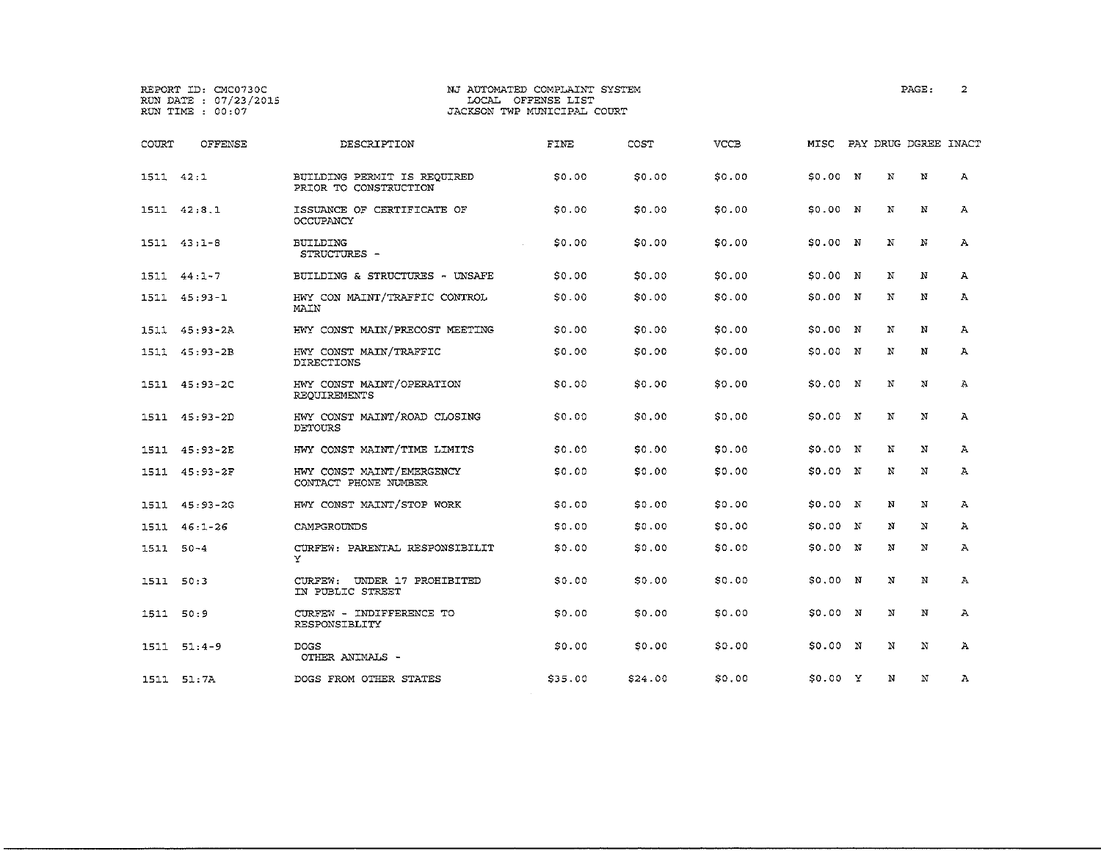OTHER ANIMALS

## REPORT ID: CMC0730C **NJ AUTOMATED COMPLAINT SYSTEM PAGE:** 2 RUN TRUNG DE CONSTRUINT STORE<br>LOCAL OFFENSE LIST<br>JACKSON TWP MUNICIPAL COURT

| COURT     | OFFENSE       | DESCRIPTION                                          | FINE         | COST   | <b>VCCB</b> | MISC     |   | PAY DRUG DGREE INACT |              |
|-----------|---------------|------------------------------------------------------|--------------|--------|-------------|----------|---|----------------------|--------------|
| 1511 42:1 |               | BUILDING PERMIT IS REOUIRED<br>PRIOR TO CONSTRUCTION | SO.00        | \$0.00 | \$0.00      | \$0.00 N | N | N                    | $\mathbf{A}$ |
|           | 1511 42:8.1   | ISSUANCE OF CERTIFICATE OF<br>OCCUPANCY              | \$0.00       | \$0.00 | \$0.00      | \$0.00 N | N | N                    | A            |
|           | $1511 43:1-8$ | BUILDING<br>STRUCTURES -                             | SO,OO        | \$0.00 | \$0.00      | S0.00 N  | N | N                    | А            |
| 1511      | $44:1 - 7$    | BUILDING & STRUCTURES - UNSAFE                       | \$0.00       | \$0.00 | \$0.00      | \$0.00 N | N | N                    | А            |
|           | 1511 45:93-1  | HWY CON MAINT/TRAFFIC CONTROL<br>MAIN                | SO 00        | \$0.00 | \$0.00      | S0.00 N  | N | N                    | А            |
| 1511      | 45:93-2A      | HWY CONST MAIN/PRECOST MEETING                       | <b>SO.00</b> | \$0.00 | \$0.00      | \$0.00 N | N | N                    | А            |
|           | 1511 45:93-2B | HWY CONST MAIN/TRAFFIC<br><b>DIRECTIONS</b>          | SO,OO        | \$0.00 | \$0.00      | \$0.00 N | N | N                    | А            |
| 1511      | 45:93-2C      | HWY CONST MAINT/OPERATION<br>REQUIREMENTS            | SO.00        | \$0.00 | \$0.00      | \$0.00 N | N | N                    | Ά            |
|           | 1511 45:93-2D | HWY CONST MAINT/ROAD CLOSING<br>DETOURS              | S0.00        | \$0.00 | \$0.00      | S0.00 N  | N | N                    | $\mathbf{A}$ |
|           | 1511 45:93-2E | HWY CONST MAINT/TIME LIMITS                          | \$0.00       | \$0.00 | \$0.00      | S0.00 N  | N | N                    | А            |
| 1511      | 45:93-2F      | HWY CONST MAINT/EMERGENCY<br>CONTACT PHONE NUMBER    | \$0.00       | \$0.00 | \$0.00      | \$0.00 N | Ň | N                    | Α            |
|           | 1511 45:93-2G | HWY CONST MAINT/STOP WORK                            | \$0.00       | \$0.00 | SO.00       | \$0.00 N | N | N                    | А            |
|           | 1511 46:1-26  | CAMPGROUNDS                                          | S0.00        | \$0.00 | SO.00       | 50.00 N  | N | $\mathbf N$          | А            |
| 1511 50-4 |               | CURFEW: PARENTAL RESPONSIBILIT<br>Y                  | SO.00        | \$0.00 | \$0.00      | \$0.00 N | N | N                    | А            |
| 1511      | 50:3          | CURFEW: UNDER 17 PROHIBITED<br>IN PUBLIC STREET      | \$0.00       | \$0.00 | \$0.00      | \$0.00 N | N | N                    | А            |
| 1511 50:9 |               | CURFEW - INDIFFERENCE TO<br>RESPONSIBLITY            | \$0.00       | \$0.00 | \$0.00      | S0.00 N  | N | N                    | Α            |
|           | $1511 51:4-9$ | <b>DOGS</b><br>OUTLIGE ANTWATC                       | SO 00        | \$0.00 | \$0.00      | 50.00 N  | N | N                    | Ά            |

1511 51:7A DOGS FROM OTHER STATES \$35.00 \$24.00 \$0.00 \$0.00 <sup>y</sup> N N <sup>A</sup>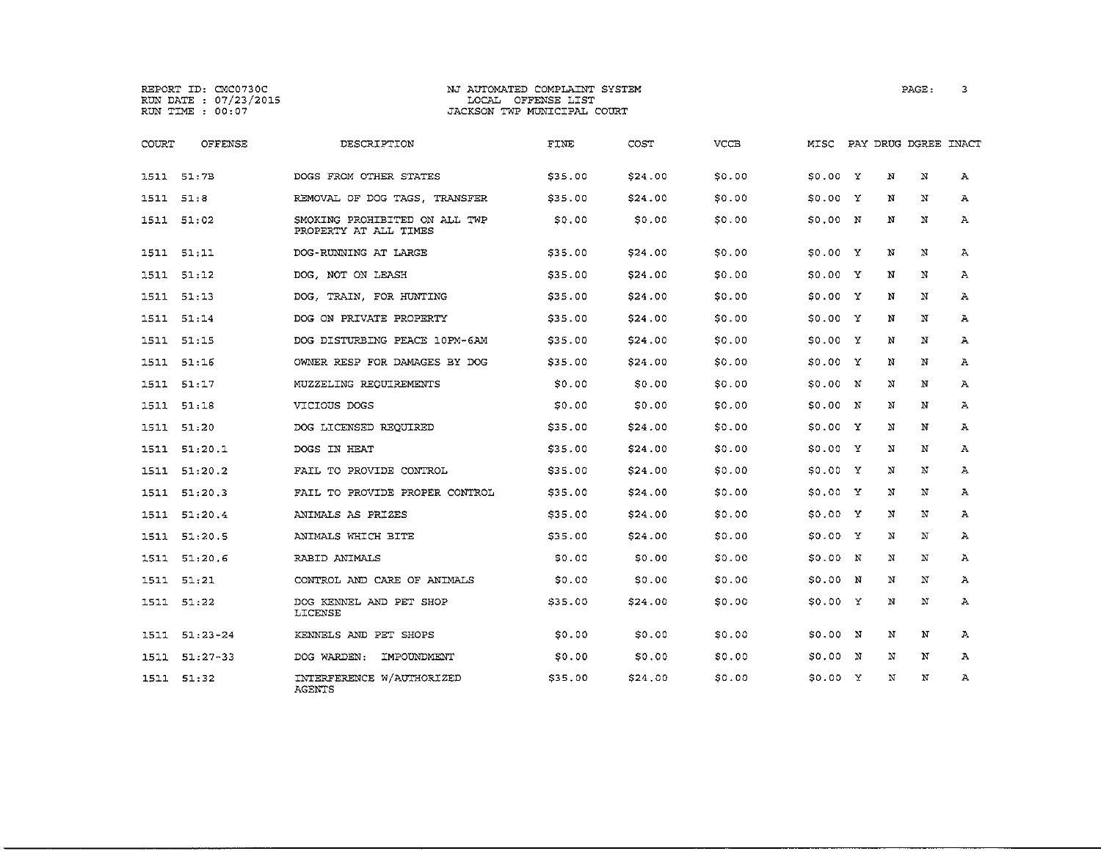REPORT ID: CMC0730C RUN DATE 07/23/2015 RUN TIME 00:07

1511 51:32

AGENTS

#### NJ AUTOMATED COMPLAINT SYSTEM LOCAL OFFENSE LIST JACKSON TWP MUNICIPAL COURT

| COURT     | OFFENSE       | DESCRIPTION                                            | FINE    | COST    | VCCB   | MISC     |     |   | PAY DRUG DGREE INACT |              |
|-----------|---------------|--------------------------------------------------------|---------|---------|--------|----------|-----|---|----------------------|--------------|
|           | 1511 51:7B    | DOGS FROM OTHER STATES                                 | \$35.00 | \$24.00 | \$0.00 | \$0.00 Y |     | N | N                    | $\mathbf{A}$ |
| 1511 51:8 |               | REMOVAL OF DOG TAGS, TRANSFER                          | \$35.00 | 524.00  | \$0.00 | 50.00 Y  |     | N | N                    | А            |
|           | 1511 51:02    | SMOKING PROHIBITED ON ALL TWP<br>PROPERTY AT ALL TIMES | S0.00   | \$0.00  | \$0.00 | 50.00 N  |     | N | N                    | $\mathbf{A}$ |
|           | 1511 51:11    | DOG-RUNNING AT LARGE                                   | \$35.00 | \$24.00 | \$0.00 | \$0.00 Y |     | N | N                    | A            |
| 1511      | 51:12         | DOG. NOT ON LEASH                                      | \$35.00 | \$24.00 | \$0.00 | S0.00 Y  |     | N | N                    | A            |
| 1511      | 51:13         | DOG, TRAIN, FOR HUNTING                                | \$35.00 | \$24.00 | \$0.00 | \$0.00 Y |     | N | N                    | Ά            |
| 1511      | 51:14         | DOG ON PRIVATE PROPERTY                                | \$35.00 | \$24.00 | \$0.00 | \$0.00 Y |     | N | N                    | A            |
| 1511      | 51:15         | DOG DISTURBING PEACE 10PM-6AM                          | \$35.00 | S24.00  | \$0.00 | \$0.00 Y |     | N | N                    | А            |
| 1511.     | 51:16         | OWNER RESP FOR DAMAGES BY DOG                          | \$35.00 | \$24.00 | \$0.00 | 50.00 Y  |     | N | N                    | A            |
| 1511.     | 51:17         | MUZZELING REOUIREMENTS                                 | 50.00   | \$0.00  | \$0.00 | 50.00 N  |     | N | N                    | A            |
| 1511      | 51:18         | VICIOUS DOGS                                           | \$0.00  | \$0.00  | \$0.00 | \$0.00 N |     | N | N                    | А            |
|           | 1511 51:20    | DOG LICENSED REQUIRED                                  | \$35.00 | \$24.00 | SO.00  | \$0.00 Y |     | N | N                    | А            |
|           | 1511 51:20.1  | DOGS IN HEAT                                           | \$35.00 | \$24.00 | \$0.00 | S0.00 Y  |     | N | N                    | A            |
| 1511      | 51:20.2       | FAIL TO PROVIDE CONTROL                                | \$35.00 | \$24.00 | \$0.00 | S0.00 Y  |     | N | N                    | A            |
|           | 1511 51:20.3  | FAIL TO PROVIDE PROPER CONTROL                         | \$35.00 | \$24.00 | \$0.00 | SO.00 Y  |     | N | N                    | A            |
|           | 1511 51:20.4  | ANIMALS AS PRIZES                                      | \$35.00 | \$24.00 | \$0.00 | SO,OO Y  |     | N | N                    | Α            |
|           | 1511 51:20.5  | ANIMALS WHICH BITE                                     | \$35.00 | \$24.00 | \$0.00 | SO 00 Y  |     | N | N                    | Α            |
|           | 1511 51:20.6  | RABID ANIMALS                                          | 50.00   | \$0.00  | \$0.00 | S0.00 N  |     | N | N                    | Α            |
|           | 1511 51:21    | CONTROL AND CARE OF ANIMALS                            | S0.00   | \$0.00  | \$0.00 | \$0.00 N |     | N | N                    | $\mathbf{A}$ |
| 1511      | 51:22         | DOG KENNEL AND PET SHOP<br>LICENSE                     | \$35.00 | \$24.00 | \$0.00 | \$0.00 Y |     | N | N                    | Α            |
|           | 1511 51:23-24 | KENNELS AND PET SHOPS                                  | SO.00   | \$0.00  | \$0.00 | 50.00 N  |     | N | N                    | A            |
|           | 1511 51:27-33 | DOG WARDEN:<br>IMPOUNDMENT                             | S0.00   | \$0.00  | \$0.00 | 50.00 N  |     | N | N                    | А            |
|           | 1511 51:32    | INTERFERENCE W/AUTHORIZED                              | \$35,00 | \$24.00 | SO.OO  | \$0.00   | - Y | Ν | N                    | А            |

PAGE: 3

\$0.00 Y N N A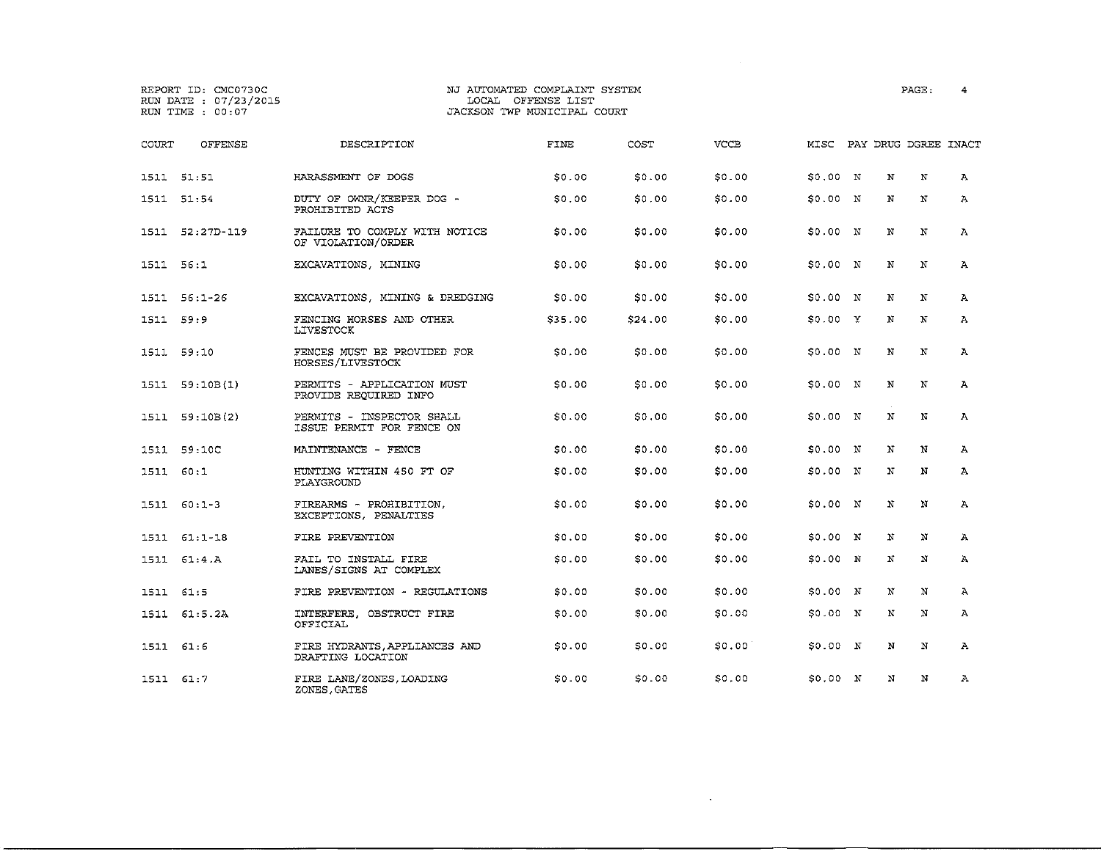# REPORT ID: CMC0730C NJ AUTOMATED COMPLAINT SYSTEM PAGE: • RUN DATE : 07/23/2015 LOCAL OFFENSE LIST RUN TIME 00:07 JACKSON TWP MUNICIPAL COURT

| COURT     | <b>OFFENSE</b> | DESCRIPTION                                            | FINE         | COST    | <b>VCCB</b> | MISC     |              | PAY DRUG DGREE INACT |              |
|-----------|----------------|--------------------------------------------------------|--------------|---------|-------------|----------|--------------|----------------------|--------------|
|           | 1511 51:51     | HARASSMENT OF DOGS                                     | 50.00        | \$0.00  | \$0.00      | \$0.00 N | $_{\rm N}$   | N                    | A            |
|           | 1511 51:54     | DUTY OF OWNR/KEEPER DOG -<br>PROHIBITED ACTS           | \$0,00       | \$0.00  | \$0.00      | \$0.00 N | N            | N                    | $\mathbf{A}$ |
| 1511      | 52:27D-119     | FAILURE TO COMPLY WITH NOTICE<br>OF VIOLATION/ORDER    | <b>SO.00</b> | \$0.00  | \$0.00      | S0.00 N  | N            | $\mathbf N$          | $\mathbf{A}$ |
| 1511 56:1 |                | EXCAVATIONS, MINING                                    | <b>SO.00</b> | \$0.00  | \$0.00      | S0.00 N  | N            | N                    | $\mathbf{A}$ |
|           | 1511 56:1-26   | EXCAVATIONS, MINING & DREDGING                         | \$0.00       | \$0.00  | \$0.00      | \$0.00 N | N            | N                    | $\mathbf{A}$ |
| 1511 59:9 |                | FENCING HORSES AND OTHER<br><b>LIVESTOCK</b>           | \$35.00      | \$24.00 | \$0.00      | 50.00 Y  | N            | N                    | $\mathbf{A}$ |
|           | 1511 59:10     | FENCES MUST BE PROVIDED FOR<br>HORSES/LIVESTOCK        | \$0.00       | \$0.00  | \$0.00      | 50.00 N  | N            | $\mathbf N$          | $\mathbf{A}$ |
|           | 1511 59:10B(1) | PERMITS - APPLICATION MUST<br>PROVIDE REQUIRED INFO    | <b>SO.00</b> | \$0.00  | \$0.00      | 50.00 N  | N<br>$\cdot$ | N                    | $\mathbf{A}$ |
|           | 1511 59:10B(2) | PERMITS - INSPECTOR SHALL<br>ISSUE PERMIT FOR FENCE ON | SO.00        | \$0.00  | \$0.00      | \$0.00 N | ${\bf N}$    | $\mathbf N$          | $\mathbf{A}$ |
|           | 1511 59:10C    | MAINTENANCE - FENCE                                    | \$0.00       | \$0.00  | \$0.00      | \$0.00 N | N            | N                    | Α            |
| 1511 60:1 |                | HUNTING WITHIN 450 FT OF<br>PLAYGROUND                 | SO 00        | \$0.00  | \$0.00      | 50.00 N  | N            | N                    | $\mathbf{A}$ |
|           | $1511 60:1-3$  | FIREARMS - PROHIBITION,<br>EXCEPTIONS, PENALTIES       | \$0.00       | \$0.00  | \$0.00      | \$0.00 N | N            | N                    | Α            |
|           | $1511 61:1-18$ | FIRE PREVENTION                                        | SO.00        | \$0.00  | \$0.00      | 50.00 N  | N            | N                    | Α            |
| 1511      | 61:4.A         | FAIL TO INSTALL FIRE<br>LANES/SIGNS AT COMPLEX         | SO.00        | \$0.00  | \$0.00      | \$0.00 N | N            | N                    | А            |
| 1511      | 61:5           | FIRE PREVENTION - REGULATIONS                          | \$0.00       | \$0.00  | \$0.00      | S0.00 N  | N            | N                    | А            |
|           | 1511 61:5.2A   | INTERFERE, OBSTRUCT FIRE<br>OFFICIAL                   | \$0.00       | \$0.00  | \$0.00      | \$0.00 N | N            | N                    | $\mathbf{A}$ |
| 1511 61:6 |                | FIRE HYDRANTS, APPLIANCES AND<br>DRAFTING LOCATION     | SO.00        | \$0.00  | \$0.00      | \$0.00 N | N            | N                    | $\mathbf{A}$ |
| 1511 61:7 |                | FIRE LANE/ZONES, LOADING<br>ZONES, GATES               | 50.00        | \$0.00  | \$0.00      | S0.00 N  | N            | $\mathbf N$          | А            |

 $\mathcal{L}^{\text{max}}_{\text{max}}$  and  $\mathcal{L}^{\text{max}}_{\text{max}}$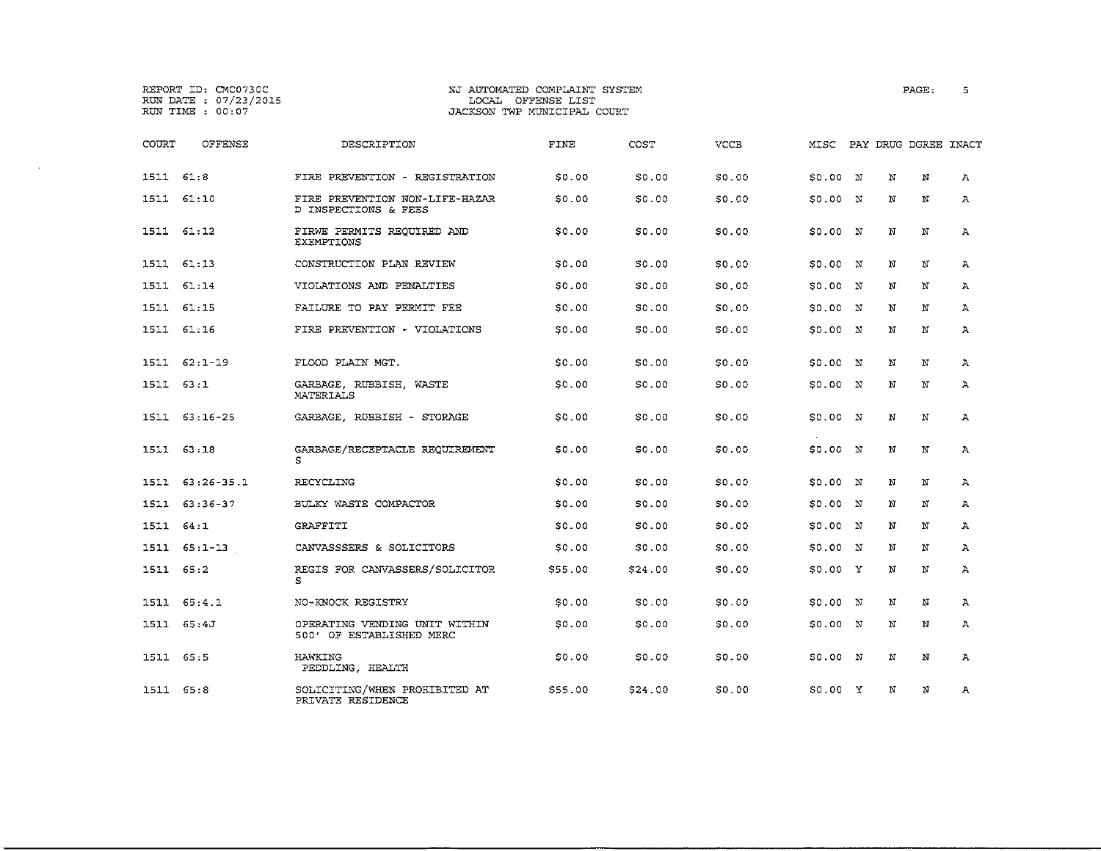|               | REPORT ID: CMC0730C<br>RUN DATE : 07/23/2015<br>RUN TIME : 00:07 |                                                           | NJ AUTOMATED COMPLAINT SYSTEM<br>LOCAL OFFENSE LIST<br>JACKSON TWP MUNICIPAL COURT |         |             |          |             | PAGE:                | 5            |
|---------------|------------------------------------------------------------------|-----------------------------------------------------------|------------------------------------------------------------------------------------|---------|-------------|----------|-------------|----------------------|--------------|
| COURT         | OFFENSE                                                          | DESCRIPTION                                               | FINE                                                                               | COST    | <b>VCCB</b> | MISC     |             | PAY DRUG DGREE INACT |              |
| 1511 61:8     |                                                                  | FIRE PREVENTION - REGISTRATION                            | 50.00                                                                              | \$0.00  | \$0.00      | \$0.00 N | N           | N                    | А            |
| 1511          | 61:10                                                            | FIRE PREVENTION NON-LIFE-HAZAR<br>D INSPECTIONS & FEES    | \$0.00                                                                             | \$0.00  | \$0.00      | \$0.00 N | N           | N                    | Α            |
|               | 1511 61:12                                                       | FIRWE PERMITS REOUIRED AND<br><b>EXEMPTIONS</b>           | \$0.00                                                                             | \$0.00  | \$0.00      | \$0.00 N | N           | N                    | $\mathbf{A}$ |
|               | 1511 61:13                                                       | CONSTRUCTION PLAN REVIEW                                  | \$0.00                                                                             | \$0.00  | \$0.00      | \$0.00 N | N           | N                    | $\mathbf{A}$ |
|               | 1511 61:14                                                       | VIOLATIONS AND PENALTIES                                  | \$0.00                                                                             | \$0.00  | \$0,00      | \$0.00 N | N           | N                    | Α            |
|               | 1511 61:15                                                       | FAILURE TO PAY PERMIT FEE                                 | \$0.00                                                                             | \$0.00  | \$0.00      | \$0.00 N | N           | N                    | Α            |
|               | 1511 61:16                                                       | FIRE PREVENTION - VIOLATIONS                              | SO.00                                                                              | \$0.00  | \$0.00      | 50.00 N  | N           | N                    | $\mathbf{A}$ |
|               | $1511 62:1-19$                                                   | FLOOD PLAIN MGT.                                          | \$0.00                                                                             | \$0.00  | \$0.00      | \$0.00 N | N           | N                    | Α            |
| $1511 \t63:1$ |                                                                  | GARBAGE RUBBISH WASTE<br>MATERIALS                        | \$0.00                                                                             | \$0.00  | \$0.00      | \$0.00 N | N           | N                    | $\Lambda$    |
| 1511          | 63:16-25                                                         | GARBAGE, RUBBISH - STORAGE                                | \$0.00                                                                             | \$0.00  | \$0.00      | S0.00 N  | N           | N                    | А            |
| 1511          | 63.18                                                            | GARBAGE/RECEPTACLE REQUIREMENT<br>s                       | \$0.00                                                                             | \$0.00  | \$0.00      | \$0.00 N | N           | N                    | Α            |
| 1511          | $63:26-35.1$                                                     | RECYCLING                                                 | \$0.00                                                                             | \$0.00  | \$0.00      | \$0.00 N | N           | N                    | Α            |
| 1511          | $63:36 - 37$                                                     | BULKY WASTE COMPACTOR                                     | \$0.00                                                                             | \$0.00  | \$0.00      | S0.00 N  | N           | N                    | $\mathbf{A}$ |
| 1511 64:1     |                                                                  | GRAFFITI                                                  | \$0.00                                                                             | \$0.00  | \$0.00      | \$0.00 N | N           | N                    | Α            |
| 1511          | $65:1 - 13$                                                      | CANVASSSERS & SOLICITORS                                  | \$0.00                                                                             | \$0.00  | \$0.00      | 50.00 N  | N           | N                    | $\mathbf{A}$ |
| 1511          | 65:2                                                             | REGIS FOR CANVASSERS/SOLICITOR<br>s                       | \$55.00                                                                            | \$24.00 | \$0.00      | \$0.00 Y | N           | N                    | А            |
|               | 1511 65:4.1                                                      | NO-KNOCK REGISTRY                                         | \$0.00                                                                             | \$0.00  | \$0.00      | \$0.00 N | N           | N                    | Α            |
| 1511          | 65:4J                                                            | OPERATING VENDING UNIT WITHIN<br>500' OF ESTABLISHED MERC | \$0.00                                                                             | \$0.00  | \$0.00      | \$0.00 N | N           | N                    | $\mathbf{A}$ |
| 1511 65:5     |                                                                  | HAWKING<br>PEDDLING, HEALTH                               | 50.00                                                                              | \$0.00  | \$0.00      | \$0.00 N | $\mathbf N$ | N                    | $\mathbf{A}$ |
| 1511 65:8     |                                                                  | SOLICITING/WHEN PROHIBITED AT<br>PRIVATE RESIDENCE        | \$55.00                                                                            | \$24.00 | \$0.00      | \$0.00 X | N           | N                    | $\mathbf{A}$ |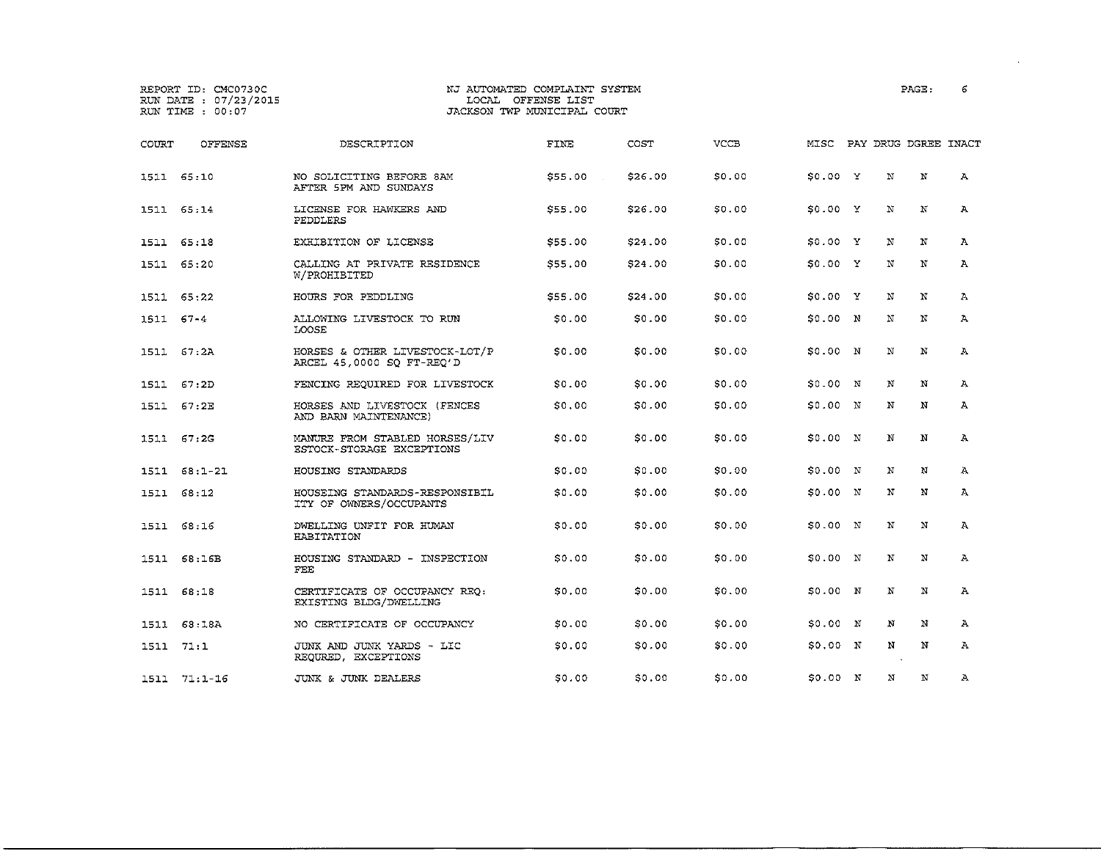## REPORT ID: CMC0730C NJ AUTOMATED COMPLAINT SYSTEM PAGE: 6 JACKSON TWP MUNICIPAL COURT

COURT OFFENSE DESCRIPTION FINE COST VCCB MISC PAY DRUG DGREE INACT

|           | 1511 65:10   | NO SOLICITING BEFORE 8AM<br>AFTER SPM AND SUNDAYS           | \$55.00      | \$26.00 | \$0.00 | S0.00 Y  |             | N           | N | Þ              |
|-----------|--------------|-------------------------------------------------------------|--------------|---------|--------|----------|-------------|-------------|---|----------------|
|           | 1511 65:14   | LICENSE FOR HAWKERS AND<br>PEDDLERS                         | \$55.00      | \$26.00 | \$0.00 | 50.00 Y  |             | N           | N | P              |
|           | 1511 65:18   | EXHIBITION OF LICENSE                                       | \$55.00      | \$24.00 | \$0.00 | S0.00 Y  |             | N           | N | A              |
| 1511      | 65:20        | CALLING AT PRIVATE RESIDENCE<br>W/PROHIBITED                | \$55.00      | \$24.00 | \$0.00 | 50.00 Y  |             | N           | N | Þ              |
|           | 1511 65:22   | HOURS FOR PEDDLING                                          | \$55.00      | \$24.00 | \$0.00 | SO.00 Y  |             | N           | N | $\mathcal{P}$  |
| 1511 67-4 |              | ALLOWING LIVESTOCK TO RUN<br>LOOSE                          | <b>SO.00</b> | \$0.00  | \$0.00 | S0.00 N  |             | N           | N | $\overline{p}$ |
| 1511      | 67:2A        | HORSES & OTHER LIVESTOCK-LOT/P<br>ARCEL 45,0000 SO FT-REO'D | SO.00        | \$0.00  | \$0.00 | \$0.00 N |             | N           | N | Þ              |
| 1511      | 67:2D        | FENCING REOUIRED FOR LIVESTOCK                              | SO.00        | \$0.00  | \$0.00 | S0.00 N  |             | N           | N | Þ              |
|           | 1511 67:2E   | HORSES AND LIVESTOCK (FENCES<br>AND BARN MAINTENANCE)       | SO.00        | \$0.00  | \$0.00 | S0.00 N  |             | N           | N | Þ              |
|           | 1511 67:2G   | MANURE FROM STABLED HORSES/LIV<br>ESTOCK-STORAGE EXCEPTIONS | \$0.00       | \$0.00  | \$0.00 | 50.00 N  |             | Ņ           | N | Ą              |
|           | 1511 68:1-21 | HOUSING STANDARDS                                           | SO.00        | \$0.00  | \$0.00 | SO.00    | $\mathbb N$ | N           | N | Þ              |
| 1511      | 68:12        | HOUSEING STANDARDS-RESPONSIBIL<br>ITY OF OWNERS/OCCUPANTS   | \$0.00       | \$0.00  | \$0.00 | S0.00 N  |             | $\mathbf N$ | N | P              |
|           | 1511 68:16   | DWELLING UNFIT FOR HUMAN<br>HABITATION                      | \$0.00       | \$0.00  | \$0.00 | S0.00 N  |             | N           | N | P              |
| 1511      | 68:16B       | HOUSING STANDARD - INSPECTION<br>FEE                        | \$0.00       | \$0.00  | \$0.00 | S0.00 N  |             | Ν           | N | P              |

1511 68:18 CERTIFICATE OF OCCUPANCY REQ; \$0.00 \$0.00 \$0.00 \$0.00 N N N A

1511 68;18A NO CERTIFICATE OF OCCUPANCY \$0.00 \$0.00 \$0.00 \$0.00 N N N <sup>A</sup> 1511 71:1 JUNK AND JUNK YARDS - LIC \$0.00 \$0.00 \$0.00 \$0.00 <sup>N</sup> N N A

1511 71:1-16 JUNK & JUNK DEALERS \$0.00 \$0.00 \$0.00 \$0.00 N N N A

EXISTING BLDG/DWELLING

REQURED, EXCEPTIONS

 $\Delta$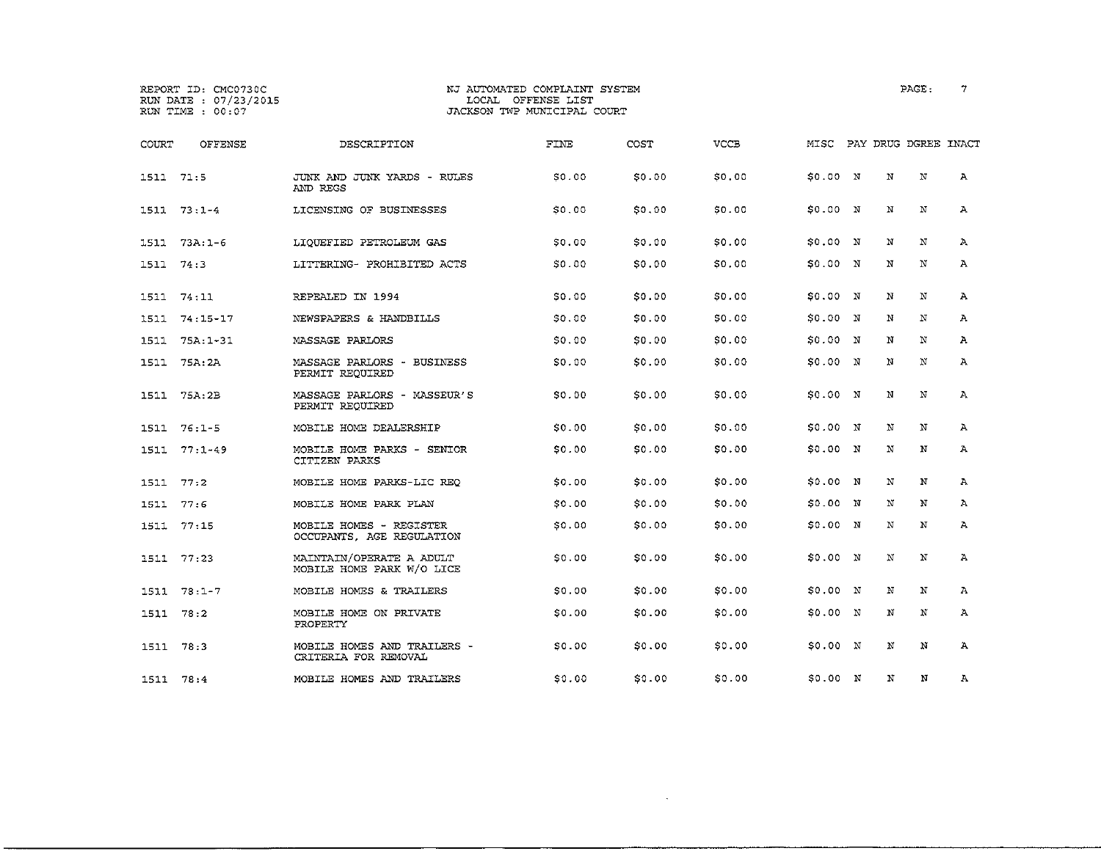# REPORT ID: CMC0730C NJ AUTOMATED COMPLAINT SYSTEM PAGE: 7 RUN DATE 07/23/2015 LOCAL OFFENSE LIST RUN TIME 00:07 JACKSON TWP MUNICIPAL COURT

| COURT     | OFFENSE       | DESCRIPTION                                           | FINE         | COST   | <b>VCCB</b> | MISC     |   | PAY DRUG DGREE INACT |              |
|-----------|---------------|-------------------------------------------------------|--------------|--------|-------------|----------|---|----------------------|--------------|
| 1511 71:5 |               | JUNK AND JUNK YARDS - RULES<br>AND REGS               | SO.00        | \$0.00 | \$0.00      | \$0.00 N | N | N                    | А            |
|           | 1511 73:1-4   | LICENSING OF BUSINESSES                               | SO 00        | \$0.00 | \$0.00      | 50.00 N  | N | N                    | Α            |
| 1511      | $73A:1-6$     | LIOUEFIED PETROLEUM GAS                               | \$0.00       | \$0.00 | \$0.00      | \$0.00 N | N | N                    | А            |
| 1511 74:3 |               | LITTERING- PROHIBITED ACTS                            | 50.00        | \$0.00 | \$0.00      | \$0.00 N | N | N                    | $\mathbf{A}$ |
| 1511      | 74:11         | REPEALED IN 1994                                      | SO 00        | \$0.00 | \$0.00      | \$0.00 N | N | N                    | А            |
|           | 1511 74:15-17 | NEWSPAPERS & HANDBILLS                                | <b>SO.00</b> | \$0.00 | \$0.00      | S0.00 N  | N | N                    | А            |
| 1511      | $75A:1-31$    | MASSAGE PARLORS                                       | 50.00        | \$0.00 | \$0.00      | \$0.00 N | N | N                    | A            |
|           | 1511 75A:2A   | MASSAGE PARLORS - BUSINESS<br>PERMIT REQUIRED         | SO,OO        | \$0.00 | \$0.00      | 50.00 N  | Ñ | N                    | А            |
|           | 1511 75A:2B   | MASSAGE PARLORS - MASSEUR'S<br>PERMIT REQUIRED        | SO.00        | \$0.00 | \$0.00      | S0.00 N  | N | $_{\rm N}$           | $\mathbf{A}$ |
|           | $1511 76:1-5$ | MOBILE HOME DEALERSHIP                                | <b>SO.00</b> | \$0.00 | \$0.00      | 50.00 N  | N | N                    | А            |
| 1511      | $77:1-49$     | MOBILE HOME PARKS - SENIOR<br>CITIZEN PARKS           | SO 00        | \$0.00 | \$0.00      | 50.00 N  | N | N                    | А            |
| 1511      | 77:2          | MOBILE HOME PARKS-LIC REO                             | \$0.00       | \$0.00 | \$0.00      | S0.00 N  | N | N                    | $\mathbf{A}$ |
| 1511      | 77:6          | MOBILE HOME PARK PLAN                                 | 50.00        | \$0.00 | \$0.00      | S0.00 N  | N | N                    | А            |
| 1511      | 77:15         | MOBILE HOMES - REGISTER<br>OCCUPANTS, AGE REGULATION  | SO 00        | \$0.00 | \$0.00      | 50.00 N  | N | N                    | А            |
|           | 1511 77:23    | MAINTAIN/OPERATE A ADULT<br>MOBILE HOME PARK W/O LICE | SO 00        | \$0.00 | \$0.00      | S0.00 N  | N | N                    | А            |
| 1511      | $78:1 - 7$    | MOBILE HOMES & TRAILERS                               | SO.00        | \$0.00 | \$0.00      | \$0.00 N | N | N                    | $\mathbf{A}$ |
| 1511 78:2 |               | MOBILE HOME ON PRIVATE<br>PROPERTY                    | SO.00        | \$0.00 | \$0.00      | \$0.00 N | N | N                    | Α            |
| 1511 78:3 |               | MOBILE HOMES AND TRAILERS -<br>CRITERIA FOR REMOVAL   | SO 00        | \$0.00 | \$0.00      | \$0.00 N | N | N                    | Ά            |
| 1511 78:4 |               | MOBILE HOMES AND TRAILERS                             | \$0.00       | \$0.00 | \$0.00      | \$0.00 N | N | N                    | А            |

 $\mathcal{L}^{\text{max}}_{\text{max}}$  , where  $\mathcal{L}^{\text{max}}_{\text{max}}$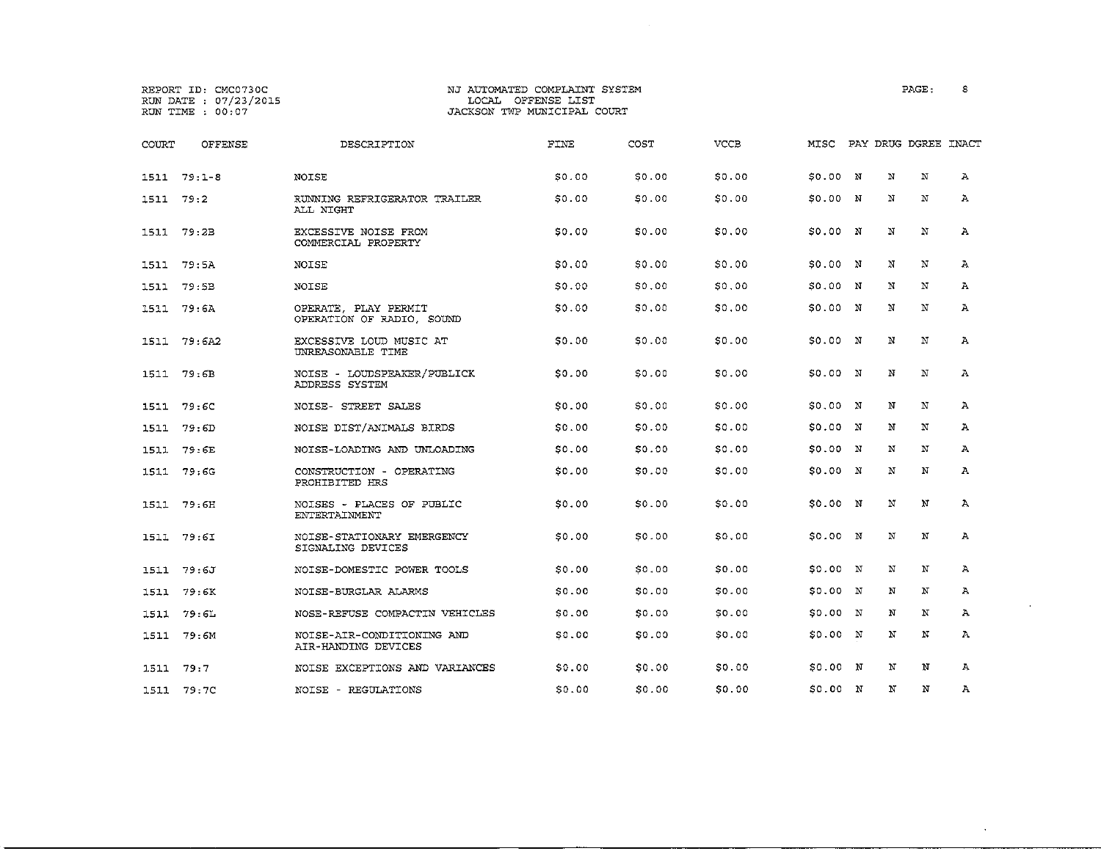#### REPORT ID: CMC0730C NJ AUTOMATED COMPLAINT SYSTEM PAGE: S RUN DATE :  $07/23/2015$ <br>
RUN TIME :  $00:07$ <br>
RUN TIME :  $00:07$ JACKSON TWP MUNICIPAL COURT

| COURT     | OFFENSE       | DESCRIPTION                                       | FINE   | COST   | VCCB   | MISC     |              |   | PAY DRUG DGREE INACT |              |
|-----------|---------------|---------------------------------------------------|--------|--------|--------|----------|--------------|---|----------------------|--------------|
|           | $1511 79:1-8$ | NOISE                                             | \$0.00 | \$0.00 | \$0.00 | \$0.00 N |              | N | N                    | $\mathbf{A}$ |
| 1511      | 79:2          | RUNNING REFRIGERATOR TRAILER<br>ALL NIGHT         | \$0.00 | \$0.00 | \$0.00 | \$0.00 N |              | N | N                    | Α            |
| 1511      | 79:2B         | EXCESSIVE NOISE FROM<br>COMMERCIAL PROPERTY       | S0.00  | \$0.00 | \$0.00 | \$0.00 N |              | N | N                    | Α            |
| 1511      | 79:5A         | NOISE                                             | \$0.00 | \$0.00 | \$0.00 | \$0.00 N |              | N | N                    | $\Lambda$    |
| 1511      | 79:5B         | NOISE                                             | \$0.00 | \$0.00 | \$0.00 | 50.00 N  |              | N | N                    | $\mathbf{A}$ |
| 1511      | 79:6A         | OPERATE, PLAY PERMIT<br>OPERATION OF RADIO, SOUND | S0.00  | \$0.00 | \$0.00 | \$0.00 N |              | N | N                    | $\mathbf{A}$ |
|           | 1511 79:6A2   | EXCESSIVE LOUD MUSIC AT<br>UNREASONABLE TIME      | 50.00  | \$0.00 | \$0.00 | 50.00 N  |              | N | N                    | Α            |
|           | 1511 79:6B    | NOISE - LOUDSPEAKER/PUBLICK<br>ADDRESS SYSTEM     | \$0.00 | \$0.00 | \$0.00 | 50.00 N  |              | N | N                    | $\mathbf{A}$ |
| 1511      | 79:6C         | NOISE- STREET SALES                               | \$0.00 | \$0.00 | \$0.00 | \$0.00 N |              | N | N                    | $\mathbf{A}$ |
| 1511      | 79: 6D        | NOISE DIST/ANIMALS BIRDS                          | \$0.00 | \$0.00 | \$0.00 | S0.00 N  |              | N | N                    | A            |
| 1511      | 79: GE        | NOISE-LOADING AND UNLOADING                       | \$0,00 | \$0.00 | \$0.00 | \$0.00 N |              | N | N                    | A            |
| 1511      | 79:6G         | CONSTRUCTION - OPERATING<br>PROHIBITED HRS        | \$0.00 | \$0.00 | \$0.00 | \$0.00 N |              | N | N                    | A            |
|           | 1511 79:6H    | NOISES - PLACES OF PUBLIC<br>ENTERTAINMENT        | 50.00  | \$0.00 | \$0.00 | \$0.00 N |              | N | N                    | $\mathbf{A}$ |
| 1511      | 79:6I         | NOISE-STATIONARY EMERGENCY<br>SIGNALING DEVICES   | \$0.00 | \$0.00 | \$0,00 | \$0.00 N |              | N | N                    | А            |
| 1511      | 79:6J         | NOISE-DOMESTIC POWER TOOLS                        | S0.00  | \$0.00 | \$0.00 | \$0.00   | $\mathbf{N}$ | N | N                    | Α            |
| 1511      | 79:6K         | NOISE-BURGLAR ALARMS                              | \$0.00 | \$0.00 | \$0.00 | \$0.00 N |              | N | N                    | A            |
| 1511      | 79:6L         | NOSE-REFUSE COMPACTIN VEHICLES                    | \$0.00 | SO.00  | \$0.00 | \$0.00   | N            | N | N                    | Α            |
|           | 1511 79:6M    | NOISE-AIR-CONDITIONING AND<br>AIR-HANDING DEVICES | \$0.00 | \$0.00 | \$0.00 | S0.00 N  |              | N | N                    | A            |
| 1511 79:7 |               | NOISE EXCEPTIONS AND VARIANCES                    | \$0.00 | \$0.00 | \$0.00 | \$0.00 N |              | N | N                    | А            |
|           | 1511 79:7C    | NOISE - REGULATIONS                               | SO.00  | \$0.00 | \$0.00 | \$0.00 N |              | N | N                    | Α            |

 $\sim$ 

 $\sim 10^7$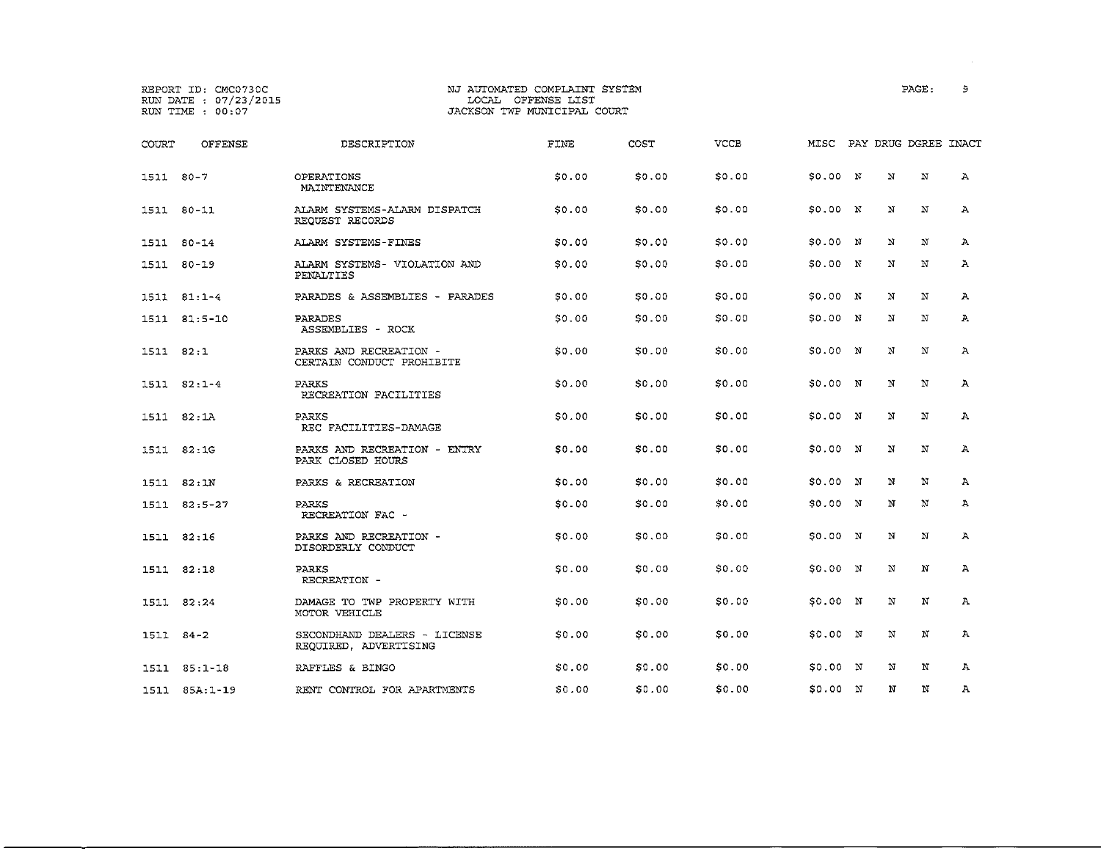## REPORT ID: CMC0730C NJ AUTOMATED COMPLAINT SYSTEM PAGE: 9 JACKSON TWP MUNICIPAL COURT

| COURT         | OFFENSE        | DESCRIPTION                                           | FINE         | COST   | VCCB   | MISC     |             | PAY DRUG DGREE INACT |   |
|---------------|----------------|-------------------------------------------------------|--------------|--------|--------|----------|-------------|----------------------|---|
| 1511 80-7     |                | OPERATIONS<br>MAINTENANCE                             | \$0.00       | \$0.00 | \$0.00 | \$0.00 N | $\mathbf N$ | N                    | А |
|               | 1511 80-11     | ALARM SYSTEMS-ALARM DISPATCH<br>REQUEST RECORDS       | \$0.00       | \$0.00 | \$0.00 | \$0.00 N | N           | N                    | А |
| 1511          | 80-14          | ALARM SYSTEMS-FINES                                   | \$0.00       | \$0.00 | \$0.00 | S0.00 N  | N           | N                    | A |
|               | 1511 80-19     | ALARM SYSTEMS- VIOLATION AND<br>PENALTIES             | \$0.00       | \$0.00 | \$0.00 | \$0.00 N | N           | N                    | А |
|               | $1511 81:1-4$  | PARADES & ASSEMBLIES - PARADES                        | SO 00        | \$0.00 | \$0.00 | 50.00 N  | N           | N                    | A |
|               | 1511 81:5-10   | PARADES<br>ASSEMBLIES - ROCK                          | \$0.00       | \$0.00 | \$0.00 | \$0.00 N | N           | N                    | А |
| 1511 82:1     |                | PARKS AND RECREATION -<br>CERTAIN CONDUCT PROHIBITE   | \$0,00       | \$0.00 | \$0.00 | \$0.00 N | N           | N                    | Α |
|               | $1511 82:1-4$  | <b>PARKS</b><br>RECREATION FACILITIES                 | \$0.00       | \$0.00 | \$0.00 | \$0.00 N | N           | N                    | А |
|               | 1511 82:1A     | <b>PARKS</b><br>REC FACILITIES-DAMAGE                 | \$0.00       | \$0.00 | \$0.00 | \$0.00 N | Ń           | N                    | А |
|               | 1511 82:1G     | PARKS AND RECREATION - ENTRY<br>PARK CLOSED HOURS     | S0.00        | \$0.00 | \$0.00 | \$0.00 N | N           | N                    | А |
| 1511          | 82:1N          | PARKS & RECREATION                                    | \$0.00       | \$0.00 | \$0.00 | SO.00 N  | N           | N                    | А |
|               | 1511 82:5-27   | <b>PARKS</b><br>RECREATION FAC -                      | 50.00        | \$0.00 | \$0.00 | S0.00 N  | N           | N                    | А |
|               | 1511 82:16     | PARKS AND RECREATION -<br>DISORDERLY CONDUCT          | \$0.00       | \$0.00 | \$0.00 | 50.00 N  | N           | N                    | Α |
|               | 1511 82:18     | PARKS<br>RECREATION -                                 | <b>SO.00</b> | \$0.00 | \$0.00 | 50.00 N  | N           | N                    | А |
|               | 1511 82:24     | DAMAGE TO TWP PROPERTY WITH<br>MOTOR VEHICLE          | \$0.00       | \$0.00 | \$0.00 | 50.00 N  | N           | N                    | Α |
| $1511 84 - 2$ |                | SECONDHAND DEALERS - LICENSE<br>REQUIRED, ADVERTISING | 50.00        | \$0.00 | \$0.00 | 50.00 N  | N           | N                    | А |
|               | $1511 85:1-18$ | RAFFLES & BINGO                                       | <b>SO.00</b> | \$0.00 | \$0.00 | \$0.00 N | N           | N                    | А |
|               | 1511 85A:1-19  | RENT CONTROL FOR APARTMENTS                           | \$0.00       | \$0.00 | \$0.00 | \$0.00 N | N           | N                    | А |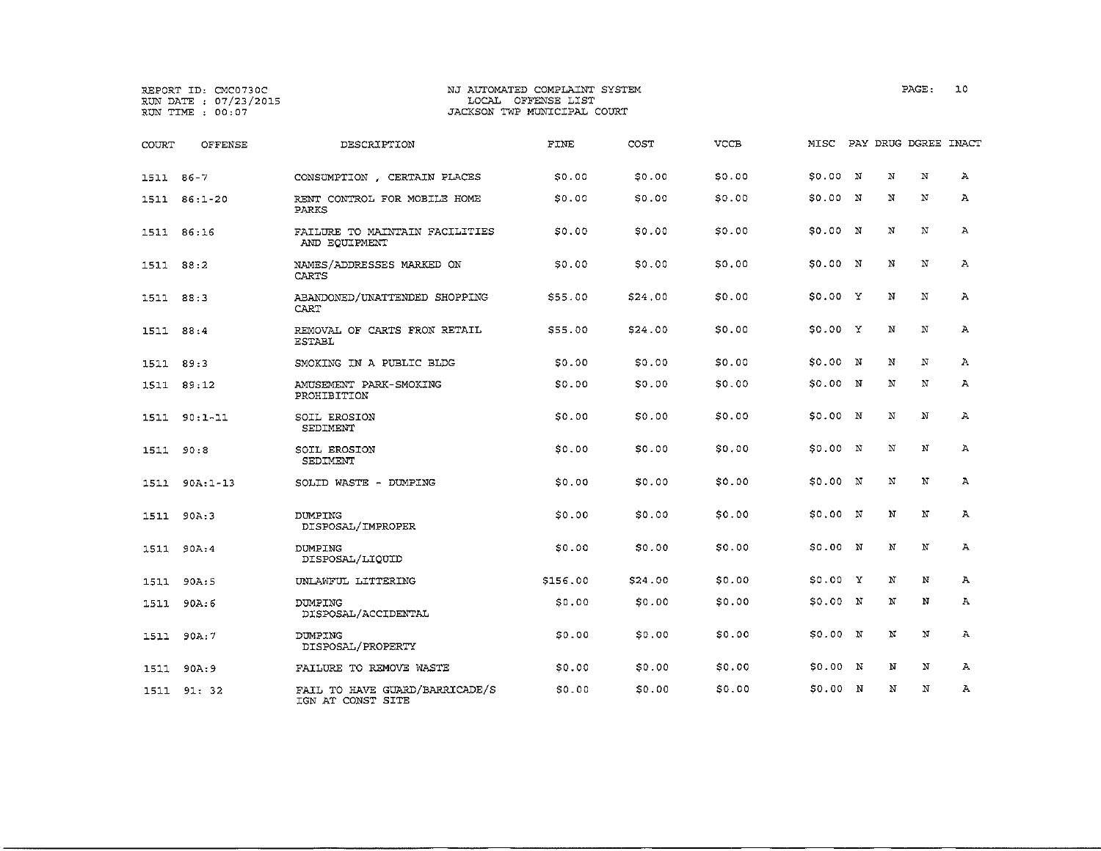|           | REPORT ID: CMC0730C<br>RUN DATE : 07/23/2015<br>RUN TIME : 00:07 | NJ AUTOMATED COMPLAINT SYSTEM<br>LOCAL OFFENSE LIST<br>JACKSON TWP MUNICIPAL COURT |          |         |             |          |                      | PAGE:      | 10           |
|-----------|------------------------------------------------------------------|------------------------------------------------------------------------------------|----------|---------|-------------|----------|----------------------|------------|--------------|
| COURT     | OFFENSE                                                          | DESCRIPTION                                                                        | FINE     | COST    | <b>VCCB</b> | MISC     | PAY DRUG DGREE INACT |            |              |
| 1511 86-7 |                                                                  | CONSUMPTION , CERTAIN PLACES                                                       | SO.00    | \$0.00  | \$0.00      | \$0.00 N | N                    | N          | $\mathbf{A}$ |
|           | 1511 86:1-20                                                     | RENT CONTROL FOR MOBILE HOME<br><b>PARKS</b>                                       | SO.00    | \$0.00  | \$0.00      | \$0.00 N | N                    | N          | A            |
|           | 1511 86:16                                                       | FAILURE TO MAINTAIN FACILITIES<br>AND EOUIPMENT                                    | 50.00    | \$0.00  | \$0.00      | \$0.00 N | N                    | N          | Α            |
| 1511 88:2 |                                                                  | NAMES/ADDRESSES MARKED ON<br>CARTS                                                 | \$0.00   | \$0.00  | \$0.00      | \$0.00 N | N                    | ${\bf N}$  | Α            |
| 1511 88:3 |                                                                  | ABANDONED/UNATTENDED SHOPPING<br>CART                                              | \$55.00  | \$24.00 | \$0.00      | \$0.00 Y | N                    | N          | Α            |
| 1511      | 88:4                                                             | REMOVAL OF CARTS FRON RETAIL<br><b>ESTABL</b>                                      | \$55.00  | \$24.00 | \$0.00      | \$0.00 X | N                    | N          | $\mathbf{A}$ |
| 1511 89:3 |                                                                  | SMOKING IN A PUBLIC BLDG                                                           | \$0.00   | \$0.00  | \$0.00      | \$0.00 N | N                    | N          | Α            |
|           | 1511 89:12                                                       | AMUSEMENT PARK-SMOKING<br>PROHIBITION                                              | SO.00    | \$0.00  | \$0.00      | \$0.00 N | N                    | N          | А            |
| 1511      | 90:1-11                                                          | SOIL EROSION<br>SEDIMENT                                                           | 50.00    | \$0.00  | \$0.00      | \$0.00 N | N                    | $_{\rm N}$ | А            |
| 1511      | 90:8                                                             | SOIL EROSION<br>SEDIMENT                                                           | \$0.00   | \$0.00  | \$0.00      | \$0.00 N | N                    | N          | $\Lambda$    |
| 1511      | $90A:1-13$                                                       | SOLID WASTE - DUMPING                                                              | \$0.00   | \$0.00  | \$0.00      | \$0.00 N | N                    | N          | $\mathbf{A}$ |
| 1511      | 90A:3                                                            | <b>DUMPING</b><br>DISPOSAL/IMPROPER                                                | \$0.00   | \$0.00  | \$0.00      | \$0.00 N | N                    | N          | А            |
| 1511      | 90A:4                                                            | DUMPING<br>DISPOSAL/LIQUID                                                         | \$0.00   | \$0.00  | \$0.00      | 50.00 N  | N                    | N          | Ά            |
| 1511      | 90A:5                                                            | UNLAWFUL LITTERING                                                                 | \$156.00 | \$24.00 | \$0.00      | \$0.00 Y | N                    | N          | А            |
| 1511      | 90A:6                                                            | DUMPING<br>DISPOSAL/ACCIDENTAL                                                     | \$0.00   | \$0.00  | \$0.00      | \$0.00 N | Ν                    | N          | А            |
| 1511      | 90A:7                                                            | DUMPING<br>DISPOSAL/PROPERTY                                                       | 50.00    | \$0.00  | \$0.00      | \$0.00 N | N                    | N          | А            |
|           | 1511 90A:9                                                       | FAILURE TO REMOVE WASTE                                                            | \$0.00   | \$0.00  | \$0.00      | \$0.00 N | N                    | N          | А            |
|           | 1511 91:32                                                       | FAIL TO HAVE GUARD/BARRICADE/S<br>IGN AT CONST SITE                                | \$0.00   | \$0.00  | \$0.00      | \$0.00 N | N                    | N          | $\Lambda$    |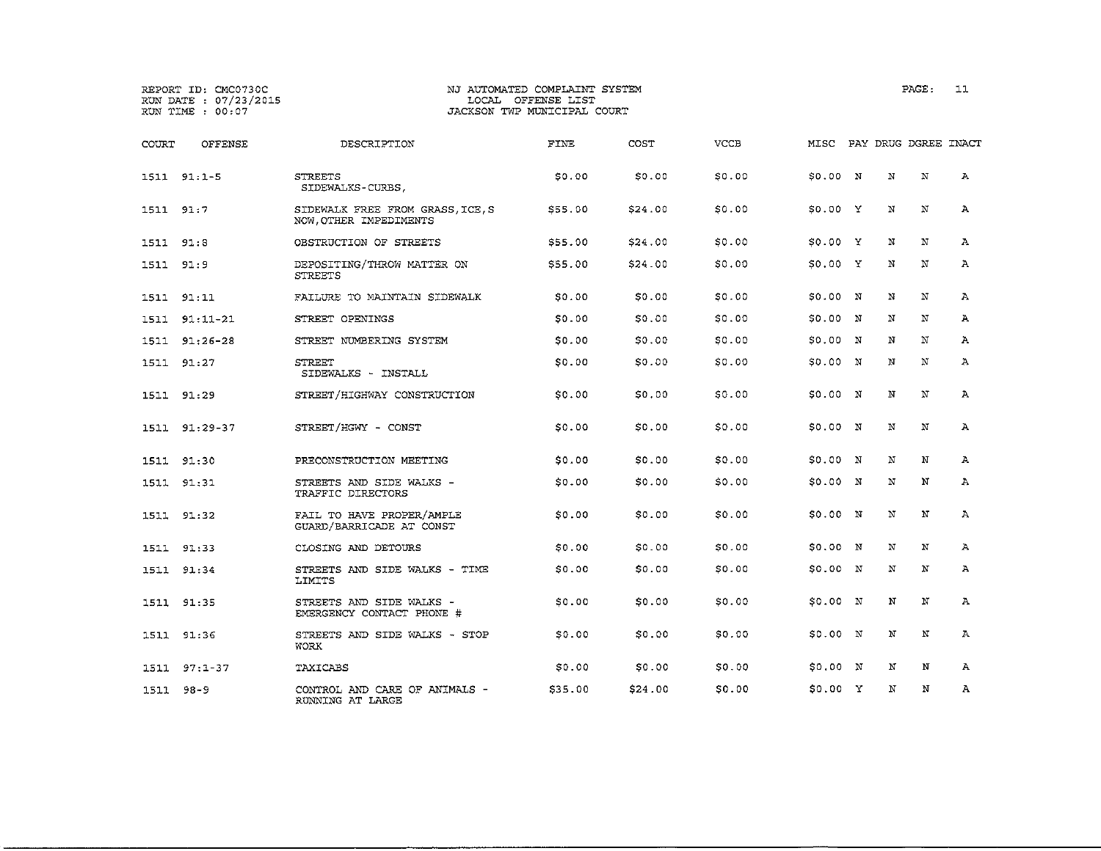|           | REPORT ID: CMC0730C<br>RUN DATE : 07/23/2015<br>RUN TIME : 00:07 |                                                          | NJ AUTOMATED COMPLAINT SYSTEM<br>LOCAL OFFENSE LIST<br>JACKSON TWP MUNICIPAL COURT |         |        |          |                      | PAGE:        | 11           |
|-----------|------------------------------------------------------------------|----------------------------------------------------------|------------------------------------------------------------------------------------|---------|--------|----------|----------------------|--------------|--------------|
| COURT     | OFFENSE                                                          | DESCRIPTION                                              | FINE                                                                               | COST    | VCCB   | MISC     | PAY DRUG DGREE INACT |              |              |
|           | 1511 91:1-5                                                      | <b>STREETS</b><br>SIDEWALKS-CURBS.                       | \$0.00                                                                             | \$0.00  | \$0.00 | \$0.00 N | N                    | N            | A            |
| 1511 91:7 |                                                                  | SIDEWALK FREE FROM GRASS ICE, S<br>NOW OTHER IMPEDIMENTS | \$55.00                                                                            | \$24.00 | \$0.00 | \$0.00 Y | N                    | N            | Ά            |
| 1511 91:8 |                                                                  | OBSTRUCTION OF STREETS                                   | \$55.00                                                                            | \$24.00 | \$0.00 | S0.00 Y  | Ν                    | N            | А            |
| 1511 91:9 |                                                                  | DEPOSITING/THROW MATTER ON<br><b>STREETS</b>             | \$55.00                                                                            | \$24.00 | \$0.00 | \$0.00 Y | N                    | N            | A            |
|           | 1511 91:11                                                       | FAILURE TO MAINTAIN SIDEWALK                             | SO.00                                                                              | \$0.00  | \$0.00 | 50.00 N  | N                    | N            | $\mathbf{A}$ |
| 1511      | $91:11 - 21$                                                     | STREET OPENINGS                                          | <b>SO.00</b>                                                                       | \$0.00  | \$0.00 | \$0.00 N | N                    | N            | $\mathbf{A}$ |
|           | 1511 91:26-28                                                    | STREET NUMBERING SYSTEM                                  | \$0.00                                                                             | \$0.00  | \$0.00 | \$0.00 N | N                    | N            | A            |
| 1511      | 91:27                                                            | <b>STREET</b><br>SIDEWALKS - INSTALL                     | SO.00                                                                              | \$0.00  | \$0.00 | \$0.00 N | N                    | N            | Ά            |
|           | 1511 91:29                                                       | STREET/HIGHWAY CONSTRUCTION                              | \$0.00                                                                             | \$0.00  | \$0.00 | \$0.00 N | N                    | N            | А            |
|           | 1511 91:29-37                                                    | STREET/HGWY - CONST                                      | \$0.00                                                                             | \$0.00  | \$0.00 | \$0.00 N | N                    | $\mathbf{N}$ | A            |
|           | 1511 91:30                                                       | PRECONSTRUCTION MEETING                                  | \$0,00                                                                             | \$0.00  | \$0.00 | \$0.00 N | N                    | N            | А            |
|           | 1511 91:31                                                       | STREETS AND SIDE WALKS -<br>TRAFFIC DIRECTORS            | \$0.00                                                                             | \$0.00  | \$0.00 | \$0.00 N | $\,$ $\,$ $\,$       | N            | Α            |
|           | 1511 91:32                                                       | FAIL TO HAVE PROPER/AMPLE<br>GUARD/BARRICADE AT CONST    | \$0.00                                                                             | \$0.00  | \$0.00 | \$0.00 N | $\mathbf N$          | N            | A            |
|           | 1511 91:33                                                       | CLOSING AND DETOURS                                      | \$0.00                                                                             | \$0.00  | \$0.00 | \$0.00 N | N                    | N            | Α            |
|           | 1511 91:34                                                       | STREETS AND SIDE WALKS - TIME<br>LIMITS                  | \$0.00                                                                             | \$0.00  | \$0.00 | S0.00 N  | N                    | N            | А            |
|           | 1511 91:35                                                       | STREETS AND SIDE WALKS -<br>EMERGENCY CONTACT PHONE #    | \$0.00                                                                             | \$0.00  | \$0.00 | \$0.00 N | N                    | N            | Α            |
|           | 1511 91:36                                                       | STREETS AND SIDE WALKS - STOP<br>WORK                    | \$0.00                                                                             | \$0.00  | \$0.00 | \$0.00 N | N                    | $_{\rm N}$   | A            |
| 1511      | $97:1-37$                                                        | <b>TAXICABS</b>                                          | \$0.00                                                                             | \$0.00  | SO.00  | \$0.00 N | N                    | N            | A            |
| 1511      | 98-9                                                             | CONTROL AND CARE OF ANIMALS -<br>RUNNING AT LARGE        | \$35.00                                                                            | \$24.00 | \$0.00 | \$0.00 Y | N                    | N            | Α            |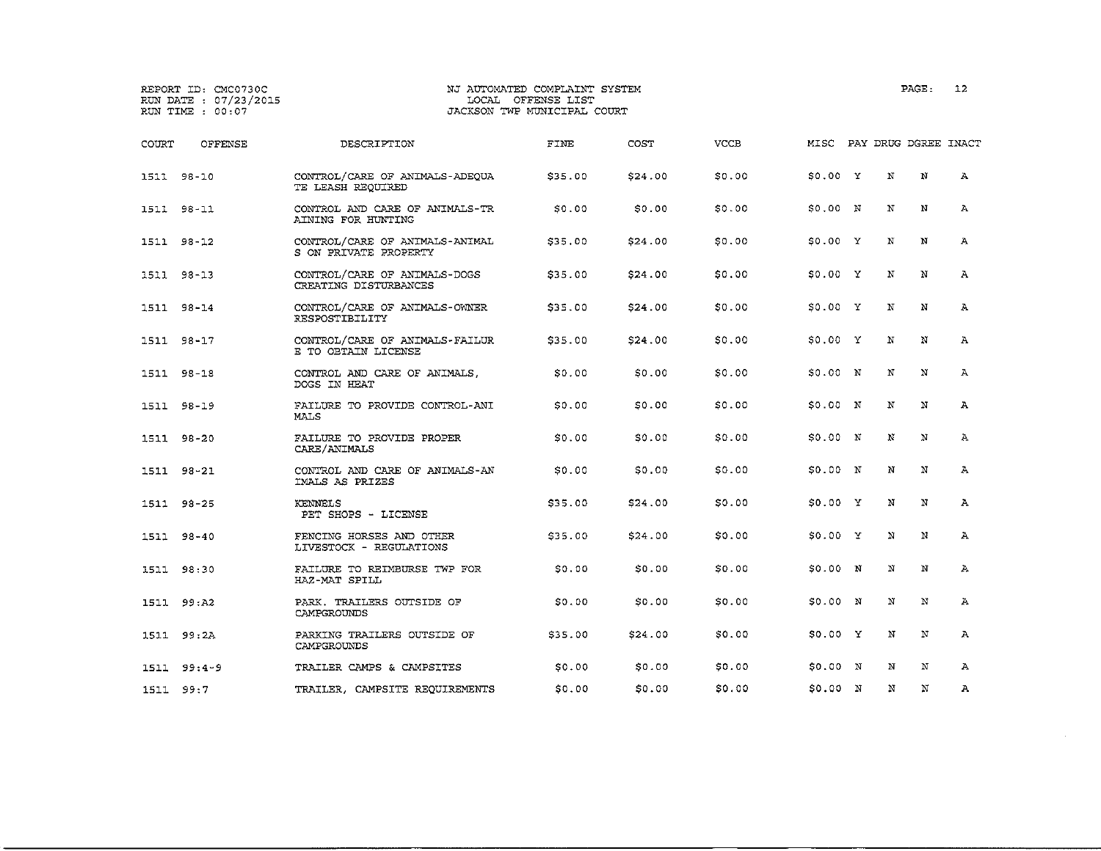|       | REPORT ID: CMC0730C<br>RUN DATE : 07/23/2015<br>RUN TIME : 00:07 |                                                         | NJ AUTOMATED COMPLAINT SYSTEM<br>LOCAL OFFENSE LIST<br>JACKSON TWP MUNICIPAL COURT |         |             |          | PAGE:                | 12           |
|-------|------------------------------------------------------------------|---------------------------------------------------------|------------------------------------------------------------------------------------|---------|-------------|----------|----------------------|--------------|
| COURT | <b>OFFENSE</b>                                                   | DESCRIPTION                                             | FINE                                                                               | COST    | <b>VCCB</b> | MISC     | PAY DRUG DGREE INACT |              |
|       | 1511 98-10                                                       | CONTROL/CARE OF ANIMALS-ADEQUA<br>TE LEASH REQUIRED     | \$35.00                                                                            | \$24.00 | \$0.00      | \$0.00 Y | N<br>N               | Α            |
|       | 1511 98-11                                                       | CONTROL AND CARE OF ANIMALS-TR<br>AINING FOR HUNTING    | SO.00                                                                              | \$0.00  | \$0.00      | SO.OO N  | N<br>N               | Α            |
|       | 1511 98-12                                                       | CONTROL/CARE OF ANIMALS-ANIMAL<br>S ON PRIVATE PROPERTY | \$35.00                                                                            | \$24.00 | \$0.00      | \$0.00 Y | N<br>N               | $\mathbf{A}$ |
|       | 1511 98-13                                                       | CONTROL/CARE OF ANIMALS-DOGS<br>CREATING DISTURBANCES   | \$35.00                                                                            | \$24.00 | \$0.00      | \$0.00 Y | N<br>N               | Α            |
|       | 1511 98-14                                                       | CONTROL/CARE OF ANIMALS-OWNER<br>RESPOSTIBILITY         | \$35.00                                                                            | \$24.00 | \$0.00      | S0.00 Y  | N<br>N               | A            |
|       | 1511 98-17                                                       | CONTROL/CARE OF ANIMALS-FAILUR<br>E TO OBTAIN LICENSE   | \$35.00                                                                            | \$24,00 | \$0.00      | \$0.00 Y | N<br>N               | Α            |
|       | 1511 98-18                                                       | CONTROL AND CARE OF ANIMALS.<br>DOGS IN HEAT            | \$0,00                                                                             | \$0.00  | \$0.00      | SO.OO N  | N<br>N               | A            |
|       | 1511 98-19                                                       | FAILURE TO PROVIDE CONTROL-ANI<br>MALS                  | S0.00                                                                              | \$0.00  | \$0.00      | S0.00 N  | N<br>N               | $\mathbf{A}$ |
|       | 1511 98-20                                                       | FAILURE TO PROVIDE PROPER<br>CARE/ANIMALS               | \$0.00                                                                             | \$0.00  | \$0.00      | 50.00 N  | $_{\rm N}$<br>N      | Α            |
|       | 1511 98-21                                                       | CONTROL AND CARE OF ANIMALS-AN<br>IMALS AS PRIZES       | SO.00                                                                              | \$0.00  | \$0.00      | S0.00 N  | N<br>N               | Α            |
|       | 1511 98-25                                                       | KENNELS<br>PET SHOPS - LICENSE                          | \$35.00                                                                            | \$24.00 | \$0.00      | \$0.00 Y | N<br>N               | A            |
|       | 1511 98-40                                                       | FENCING HORSES AND OTHER<br>LIVESTOCK - REGULATIONS     | \$35.00                                                                            | \$24.00 | \$0.00      | \$0.00 Y | N<br>N               | Α            |
|       | 1511 98:30                                                       | FAILURE TO REIMBURSE TWP FOR<br>HAZ-MAT SPILL           | SO.00                                                                              | \$0.00  | \$0.00      | \$0.00 N | N<br>N               | А            |
|       | 1511 99:A2                                                       | PARK. TRAILERS OUTSIDE OF<br>CAMPGROUNDS                | \$0.00                                                                             | \$0.00  | \$0.00      | 50.00 N  | N<br>N               | Α            |
|       | 1511 99:2A                                                       | PARKING TRAILERS OUTSIDE OF<br>CAMPGROUNDS              | \$35.00                                                                            | \$24.00 | \$0.00      | \$0.00 Y | N<br>N               | $\mathbf{A}$ |
|       | $1511 99:4-9$                                                    | TRAILER CAMPS & CAMPSITES                               | \$0.00                                                                             | \$0.00  | \$0.00      | 50.00 N  | N<br>N               | Α            |
|       | 1511 99:7                                                        | TRAILER, CAMPSITE REQUIREMENTS                          | \$0,00                                                                             | \$0.00  | \$0.00      | \$0.00 N | N<br>N               | A            |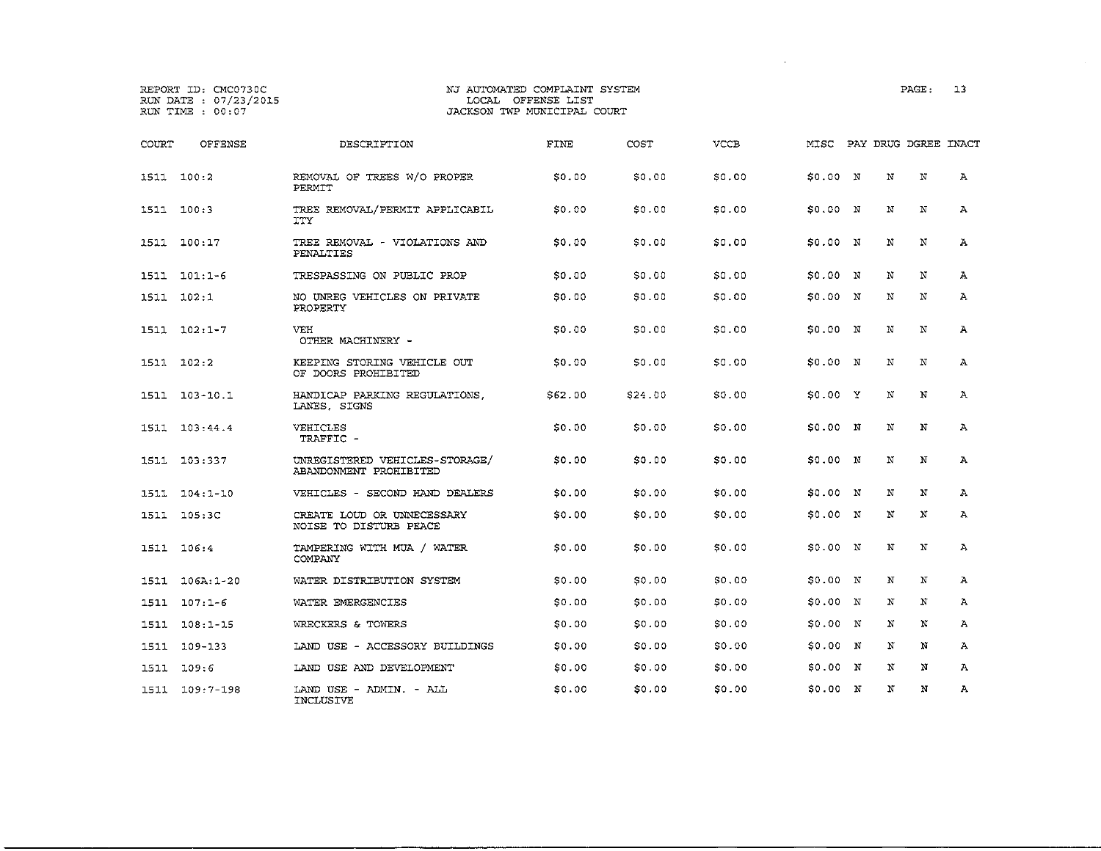### REPORT ID: CMC0730C NJ AUTOMATED COMPLAINT SYSTEM PAGE: l3 JACKSON TWP MUNICIPAL COURT

COURT OFFENSE DESCRIPTION FINE COST VCCB MISC PAY DRUG DGREE INACT 1511 100:2 REMOVAL OF TREES W/O PROPER \$0.00 \$0.00 \$0.00 \$0.00 <sup>N</sup> <sup>N</sup> N A PERMIT 1511 100:3 TREE REMOVAL/PERMIT APPLICABIL \$0.00 \$0.00 \$0.00 \$0.00 N N N A ITY 1511 100:17 TREE REMOVAL - VIOLATIONS AND \$0.00 \$0.00 \$0.00 \$0.00 <sup>N</sup> <sup>N</sup> <sup>N</sup> A PENALTIES 1511 101:1-6 TRESPASSING ON PUBLIC PROP \$0.00 \$0.00 \$0.00 \$0.00 <sup>N</sup> N N A 1511 102:1 NO UNREG VEHICLES ON PRIVATE \$0.00 \$0.00 \$0.00 \$0.00 <sup>N</sup> N N A PROPERTY 1511 102:1-7 VEE \$0.00 \$0.00 \$0.00 \$0.00 <sup>N</sup> <sup>N</sup> <sup>N</sup> A OTHER MACHINERY - 1511 102:2 KEEPING STORING VEHICLE OUT \$0.00 \$0.00 \$0.00 \$0.00 N N N A OF DOORS PROHIBITED 1511 103-10.1 HANDICAP PARKING REGULATIONS, \$62.00 \$24.00 \$0.00 \$0.00 <sup>y</sup> <sup>N</sup> <sup>N</sup> A LANES, SIGNS 1511 103:44.4 VEHICLES \$0.00 \$0.00 \$0.00 \$0.00 N N N A TRAFFIC - 1511 103:337 UNREGISTERED VEHICLES-STORAGE/ \$0.00 \$0.00 \$0.00 \$0.00 N N N A ABANDONMENT PROHIBITED 1511 104:1-10 VEHICLES - SECOND HAND DEALERS \$0.00 \$0.00 \$0.00 \$0.00 N N N A 1511 105:3C CREATE LOUD OR UNNECESSARY \$0.00 \$0.00 \$0.00 \$0.00 N N <sup>N</sup> A NOISE TO DISTURB PEACE 1511 106:4 TAMPERING WITH MUA / WATER \$0.00 \$0.00 \$0.00 \$0.00 <sup>N</sup> N N A COMPANY 1511 106A:1-20 WATER DISTRIBUTION SYSTEM \$0.00 \$0.00 \$0.00 \$0.00 N N <sup>N</sup> A 1511 107:1-6 WATER EMERGENCIES \$0.00 \$0.00 \$0.00 \$0.00 N N N A 1511 108:1-15 WRECKERS & TOWERS \$0.00 \$0.00 \$0.00 \$0.00 <sup>N</sup> <sup>N</sup> <sup>N</sup> A 1511 109-133 LAND USE - ACCESSORY BUILDINGS \$0.00 \$0.00 \$0.00 \$0.00 N N N A 1511 109:6 LAND USE AND DEVELOPMENT \$0.00 \$0.00 SO.OO \$0.00 N N N A 1511 109:7-198 LAND USE ADMIN. - ALL \$0.00 \$0.00 *\$0.00* \$0.00 <sup>N</sup> <sup>N</sup> <sup>N</sup> A INCLUSIVE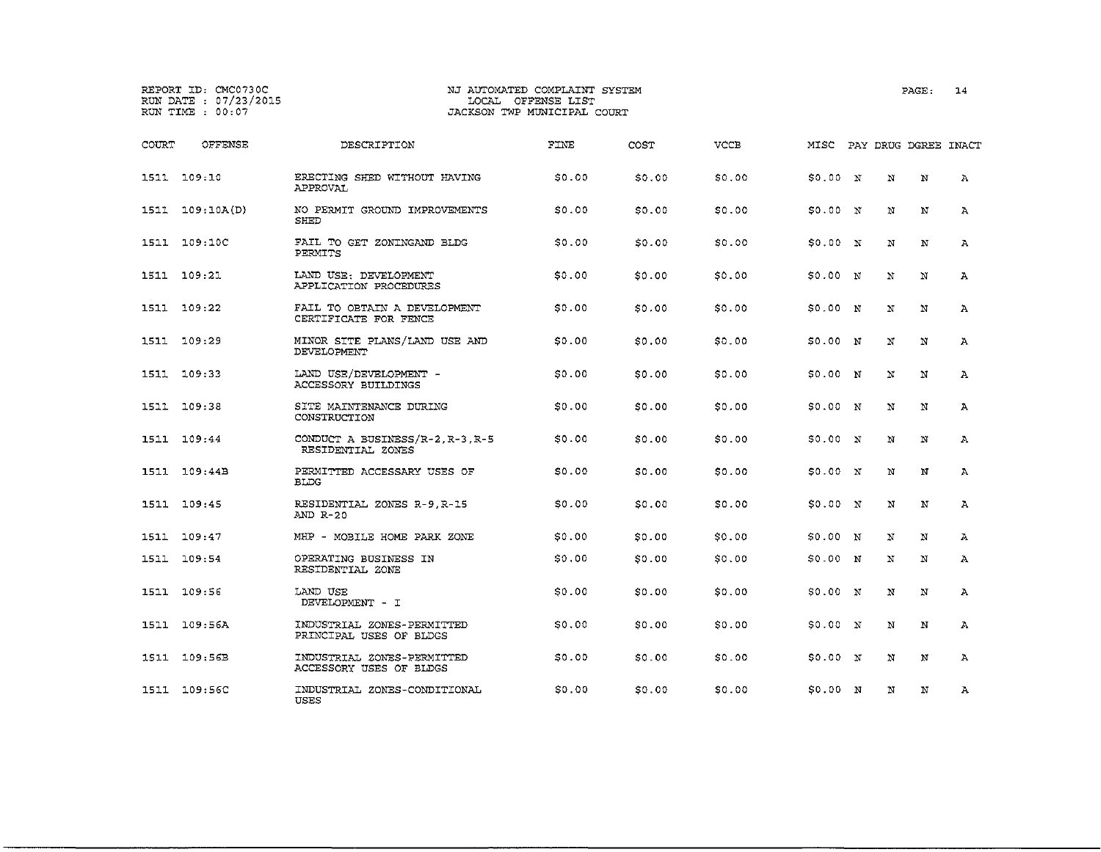## REPORT ID; CMC0730C NJ AUTOMATED COMPLAINT SYSTEM PAGE: 14 JACKSON TWP MUNICIPAL COURT

| COURT | OFFENSE      | DESCRIPTION                                           | FINE   | COST         | <b>VCCB</b> | MISC                |              | PAY DRUG DGREE INACT |              |
|-------|--------------|-------------------------------------------------------|--------|--------------|-------------|---------------------|--------------|----------------------|--------------|
|       | 1511 109:10  | ERECTING SHED WITHOUT HAVING<br>APPROVAL              | \$0.00 | <b>SO.00</b> | \$0.00      | \$0.00 N            | $\mathbf N$  | $\mathbf N$          | $\mathbf{A}$ |
| 1511  | 109:10A(D)   | NO PERMIT GROUND IMPROVEMENTS<br><b>SHED</b>          | \$0.00 | 50.00        | \$0.00      | \$0.00 N            | N            | N                    | $\mathbf{A}$ |
| 1511  | 109:10C      | FAIL TO GET ZONINGAND BLDG<br>PERMITS                 | \$0.00 | S0.00        | \$0.00      | SO.00 N             | N            | $\mathbf N$          | $\mathbf{A}$ |
|       | 1511 109:21  | LAND USE: DEVELOPMENT<br>APPLICATION PROCEDURES       | \$0.00 | SO.00        | \$0.00      | \$0.00 N            | N            | $\mathbf N$          | Α            |
|       | 1511 109:22  | FAIL TO OBTAIN A DEVELOPMENT<br>CERTIFICATE FOR FENCE | \$0.00 | SO.00        | \$0.00      | \$0.00 N            | N            | N                    | $\mathbf{A}$ |
| 1511  | 109:29       | MINOR SITE PLANS/LAND USE AND<br>DEVELOPMENT          | \$0.00 | \$0.00       | \$0.00      | \$0.00 <sub>N</sub> | $\mathbf N$  | $\mathbf N$          | $\mathbf{A}$ |
|       | 1511 109:33  | LAND USE/DEVELOPMENT -<br>ACCESSORY BUILDINGS         | \$0.00 | SO.00        | \$0.00      | \$0.00 N            | $\mathbf N$  | N                    | $\mathbf{A}$ |
|       | 1511 109:38  | SITE MAINTENANCE DURING<br>CONSTRUCTION               | \$0.00 | \$0.00       | \$0.00      | \$0.00 N            | N            | N                    | $\mathbf{A}$ |
|       | 1511 109:44  | CONDUCT A BUSINESS/R-2, R-3, R-5<br>RESIDENTIAL ZONES | \$0.00 | 50.00        | \$0.00      | \$0.00 N            | $\mathbf{N}$ | $\mathbf N$          | $\mathbf{A}$ |
|       | 1511 109:44B | PERMITTED ACCESSARY USES OF<br><b>ELDG</b>            | \$0.00 | \$0.00       | \$0.00      | \$0.00 N            | N            | N                    | $\mathbf{A}$ |
|       | 1511 109:45  | RESIDENTIAL ZONES R-9.R-15<br>AND R-20                | \$0.00 | SO.00        | \$0.00      | SO.00 N             | $\mathbf N$  | $\mathbf N$          | $\mathbf{A}$ |
|       | 1511 109:47  | MHP - MOBILE HOME PARK ZONE                           | \$0.00 | \$0.00       | \$0.00      | \$0.00 N            | N            | N                    | А.           |
|       | 1511 109:54  | OPERATING BUSINESS IN<br>RESIDENTIAL ZONE             | \$0.00 | SO.00        | \$0.00      | \$0.00 N            | N            | N                    | $\mathbf{A}$ |
|       | 1511 109:56  | LAND USE<br>DEVELOPMENT - I                           | \$0.00 | SO.00        | \$0.00      | \$0.00 N            | $_{\rm N}$   | N                    | А            |

1511 109:56A INDUSTRIAL ZONES-PERMITTED \$0.00 \$0.00 \$0.00 \$0.00 N N N A

1511 109:56B INDUSTRIAL ZONES - PERMITTED \$0.00 \$0.00 \$0.00 \$0.00 N N N A

1511 109:56C INDUSTRIAL ZONES-CONDITIONAL \$0.00 \$0.00 \$0.00 \$0.00 N N N A

PRINCIPAL USES OF BLDGS

ACCESSORY USES OF BLDGS

USES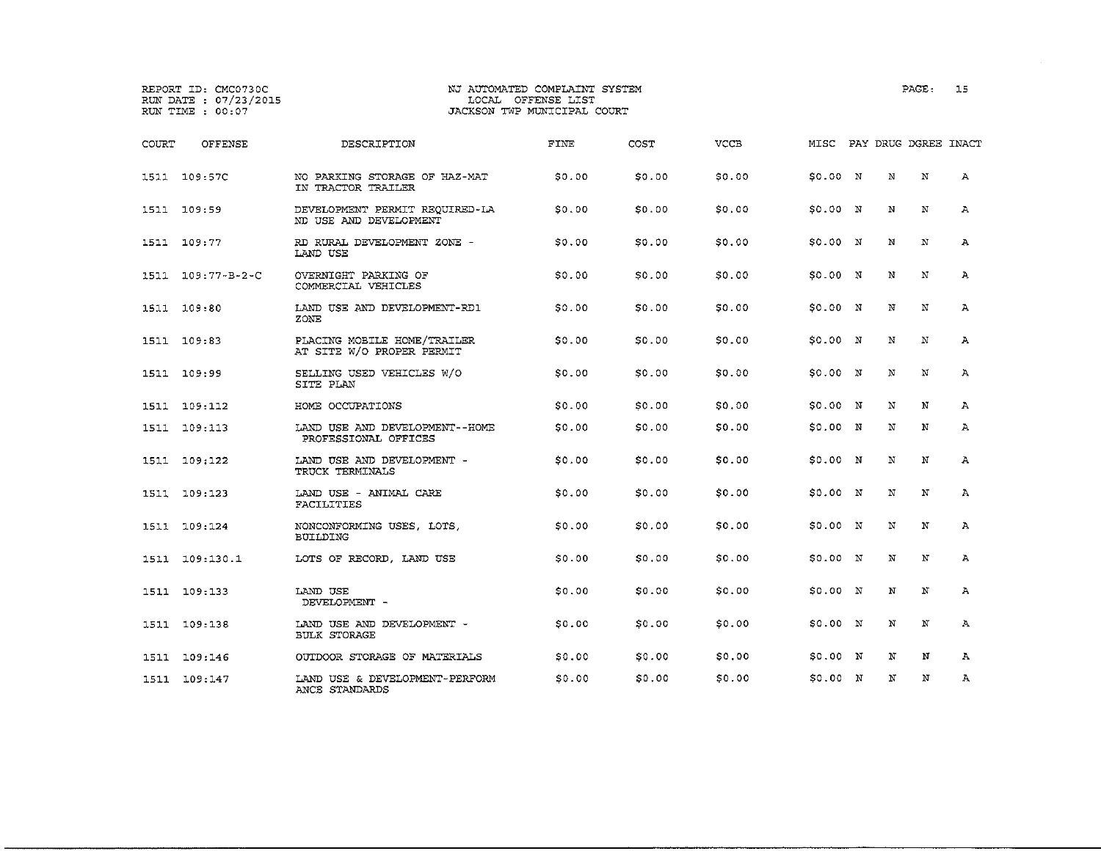|              | REPORT ID: CMC0730C<br>RUN DATE : 07/23/2015<br>RUN TIME : 00:07 |                                                          | NJ AUTOMATED COMPLAINT SYSTEM<br>LOCAL OFFENSE LIST<br>JACKSON TWP MUNICIPAL COURT |        |             |                           |   | PAGE:        | 15           |
|--------------|------------------------------------------------------------------|----------------------------------------------------------|------------------------------------------------------------------------------------|--------|-------------|---------------------------|---|--------------|--------------|
| <b>COURT</b> | <b>OFFENSE</b>                                                   | DESCRIPTION                                              | FINE                                                                               | COST   | <b>VCCB</b> | MISC PAY DRUG DGREE INACT |   |              |              |
|              | 1511 109:57C                                                     | NO PARKING STORAGE OF HAZ-MAT<br>IN TRACTOR TRAILER      | \$0.00                                                                             | \$0.00 | \$0.00      | \$0.00 N                  | N | $\mathbf N$  | А            |
|              | 1511 109:59                                                      | DEVELOPMENT PERMIT REQUIRED-LA<br>ND USE AND DEVELOPMENT | \$0.00                                                                             | \$0.00 | \$0.00      | 50.00 N                   | N | N            | A            |
|              | 1511 109:77                                                      | RD RURAL DEVELOPMENT ZONE -<br>LAND USE                  | 50.00                                                                              | \$0.00 | \$0.00      | \$0.00 N                  | N | N            | A            |
| 1511         | $109:77 - B - 2 - C$                                             | OVERNIGHT PARKING OF<br>COMMERCIAL VEHICLES              | \$0.00                                                                             | \$0.00 | \$0.00      | \$0.00 N                  | N | $_{\rm N}$   | Α            |
|              | 1511 109:80                                                      | LAND USE AND DEVELOPMENT-RD1<br>ZONE                     | <b>SO.00</b>                                                                       | \$0.00 | \$0.00      | \$0.00 N                  | N | N            | Α            |
|              | 1511 109:83                                                      | PLACING MOBILE HOME/TRAILER<br>AT SITE W/O PROPER PERMIT | \$0.00                                                                             | \$0.00 | \$0.00      | \$0.00 N                  | N | $\mathbf N$  | A            |
|              | 1511 109:99                                                      | SELLING USED VEHICLES W/O<br>SITE PLAN                   | \$0.00                                                                             | \$0.00 | \$0.00      | \$0.00 N                  | N | $\mathbf{N}$ | А            |
|              | 1511 109:112                                                     | HOME OCCUPATIONS                                         | \$0.00                                                                             | \$0.00 | \$0.00      | \$0.00 N                  | N | N            | $\mathbf{A}$ |
|              | 1511 109:113                                                     | LAND USE AND DEVELOPMENT--HOME<br>PROFESSIONAL OFFICES   | \$0.00                                                                             | \$0.00 | \$0.00      | \$0.00 N                  | N | N            | А            |
|              | 1511 109:122                                                     | LAND USE AND DEVELOPMENT -<br>TRUCK TERMINALS            | \$0.00                                                                             | \$0.00 | \$0.00      | \$0.00 N                  | N | N            | Α            |
|              | 1511 109:123                                                     | LAND USE - ANIMAL CARE<br>FACILITIES                     | \$0.00                                                                             | \$0.00 | \$0.00      | \$0.00 N                  | N | N            | Α            |
| 1511         | 109:124                                                          | NONCONFORMING USES, LOTS,<br><b>BUILDING</b>             | 50.00                                                                              | \$0.00 | \$0.00      | \$0.00 N                  | N | N            | Α            |
|              | 1511 109:130.1                                                   | LOTS OF RECORD, LAND USE                                 | S0.00                                                                              | \$0.00 | \$0.00      | 50.00 N                   | N | N            | $\mathbf{A}$ |
|              | 1511 109:133                                                     | LAND USE<br>DEVELOPMENT -                                | \$0.00                                                                             | \$0.00 | \$0.00      | \$0.00 N                  | N | N            | A            |
|              | 1511 109:138                                                     | LAND USE AND DEVELOPMENT -<br>BULK STORAGE               | \$0,00                                                                             | \$0.00 | \$0.00      | \$0.00 N                  | N | N            | Α            |
|              | 1511 109:146                                                     | OUTDOOR STORAGE OF MATERIALS                             | \$0.00                                                                             | \$0.00 | \$0.00      | \$0.00 N                  | N | N            | $\mathbf{A}$ |
|              | 1511 109:147                                                     | LAND USE & DEVELOPMENT-PERFORM<br>ANCE STANDARDS         | \$0.00                                                                             | \$0.00 | \$0.00      | \$0.00 N                  | N | N            | $\mathbf{A}$ |

 $\sim$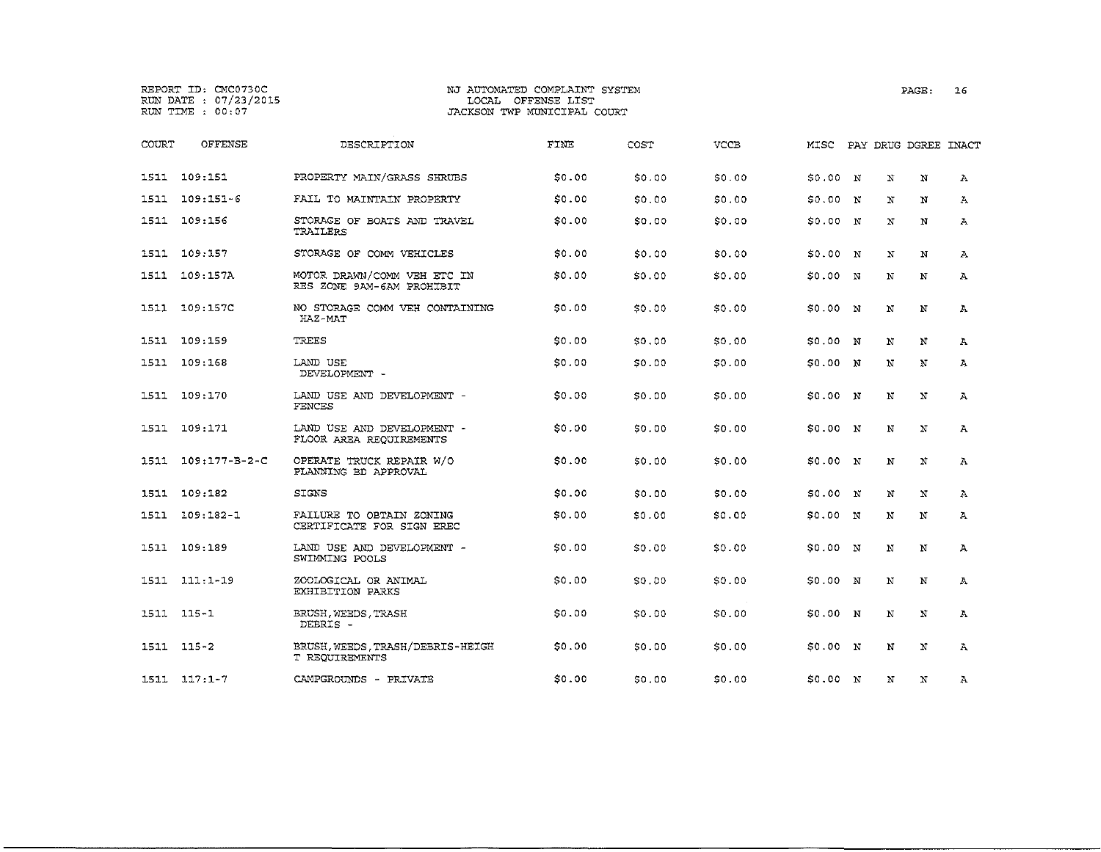# REPORT ID: CMC0730C NJ AUTOMATED COMPLAINT SYSTEM PAGE: 16 RUN DATE : 07/23/2015 LOCAL OFFENSE LIST<br>RUN TIME : 00:07 RUN DACKSON TWP MUNICIPAL COURT

| COURT | OFFENSE               | DESCRIPTION                                              | FINE   | COST   | <b>VCCE</b> | MISC          |             |   | PAY DRUG DGREE INACT |              |
|-------|-----------------------|----------------------------------------------------------|--------|--------|-------------|---------------|-------------|---|----------------------|--------------|
|       | 1511 109:151          | PROPERTY MAIN/GRASS SHRUBS                               | \$0.00 | \$0.00 | \$0.00      | \$0.00        | $\mathbf N$ | N | N                    | $\mathbf{A}$ |
| 1511  | 109:151-6             | FAIL TO MAINTAIN PROPERTY                                | \$0.00 | SO.00  | \$0.00      | \$0.00        | 'N          | N | N                    | А            |
|       | 1511 109:156          | STORAGE OF BOATS AND TRAVEL<br>TRAILERS                  | \$0.00 | \$0.00 | \$0.00      | \$0.00        | N           | N | N                    | A.           |
| 1511  | 109:157               | STORAGE OF COMM VEHICLES                                 | \$0.00 | 50.00  | \$0.00      | \$0.00 N      |             | N | N                    | A            |
| 1511  | 109:157A              | MOTOR DRAWN/COMM VEH ETC IN<br>RES ZONE 9AM-6AM PROHIBIT | \$0.00 | SO.OO  | \$0.00      | \$0.00 N      |             | N | N                    | A            |
|       | 1511 109:157C         | NO STORAGE COMM VEH CONTAINING<br>HAZ-MAT                | \$0.00 | \$0.00 | \$0.00      | \$0.00 N      |             | N | N                    | А            |
| 1511  | 109:159               | TREES                                                    | \$0.00 | \$0,00 | \$0.00      | \$0.00 N      |             | N | N                    | $\mathbf{A}$ |
| 1511  | 109:168               | LAND USE<br>DEVELOPMENT -                                | \$0.00 | SO.00  | 50.00       | \$0.00 N      |             | N | N                    | A            |
|       | 1511 109:170          | LAND USE AND DEVELOPMENT -<br>FENCES                     | \$0.00 | \$0.00 | \$0.00      | \$0.00 N      |             | N | N                    | $\mathbb{A}$ |
| 1511  | 109:171               | LAND USE AND DEVELOPMENT -<br>FLOOR AREA REQUIREMENTS    | \$0.00 | \$0.00 | \$0.00      | \$0.00 N      |             | N | $\,$ N               | A            |
| 1511  | $109:177 - B - 2 - C$ | OPERATE TRUCK REPAIR W/O<br>PLANNING BD APPROVAL         | \$0.00 | \$0.00 | \$0.00      | \$0.00 N      |             | N | N                    | A            |
| 1511  | 109:182               | <b>SIGNS</b>                                             | \$0.00 | \$0.00 | \$0.00      | \$0.00 N      |             | N | N                    | A            |
| 1511  | 109:182-1             | FAILURE TO OBTAIN ZONING<br>CERTIFICATE FOR SIGN EREC    | \$0.00 | \$0.00 | \$0.00      | \$0.00        | N           | N | N                    | A            |
| 1511  | 109:189               | LAND USE AND DEVELOPMENT -<br>SWIMMING POOLS             | \$0.00 | \$0.00 | \$0.00      | $$0.00 \t N$$ |             | N | N                    | A            |
| 1511  | $111:1 - 19$          | ZOOLOGICAL OR ANIMAL<br>EXHIBITION PARKS                 | \$0.00 | SO.00  | \$0.00      | \$0.00 N      |             | N | N                    | A            |
|       | 1511 115-1            | BRUSH, WEEDS, TRASH<br>DEBRIS -                          | \$0.00 | \$0.00 | \$0.00      | \$0.00 N      |             | N | N                    | $\mathbf{A}$ |
|       | 1511 115-2            | BRUSH, WEEDS, TRASH/DEBRIS-HEIGH<br>T REQUIREMENTS       | \$0.00 | 50.00  | \$0.00      | \$0.00 N      |             | N | N                    | Α            |
|       | $1511 117:1-7$        | CAMPGROUNDS - PRIVATE                                    | \$0.00 | \$0.00 | \$0.00      | 50.00 N       |             | N | N                    | A            |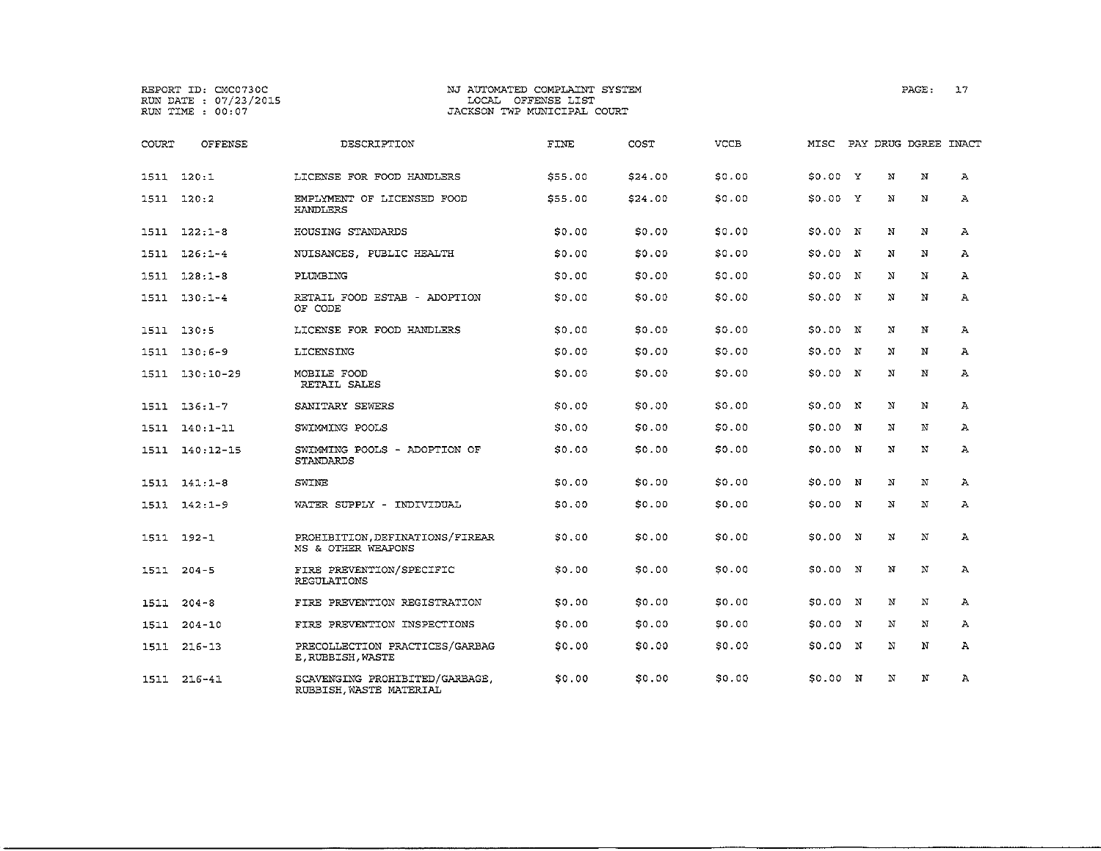# **REPORT ID; CMC0730C NJ AUTOMATED COMPLAINT SYSTEM PAGE;** 17 **RUN DATE** 07/23/2015 LOCAL **OFFENSE LIST RUN TIME 00:07 JACKSON TWP MUNICIPAL COURT**

| COURT | <b>OFFENSE</b> | DESCRIPTION                                               | FINE    | COST    | <b>VCCB</b> | MISC     |              |             | PAY DRUG DGREE INACT |              |
|-------|----------------|-----------------------------------------------------------|---------|---------|-------------|----------|--------------|-------------|----------------------|--------------|
|       | 1511 120:1     | LICENSE FOR FOOD HANDLERS                                 | \$55.00 | \$24.00 | \$0.00      | S0.00 Y  |              | N           | N                    | А            |
| 1511  | 120:2          | EMPLYMENT OF LICENSED FOOD<br>HANDLERS                    | \$55.00 | \$24.00 | \$0.00      | S0.00 Y  |              | N           | N                    | Α            |
|       | $1511 122:1-8$ | HOUSING STANDARDS                                         | \$0.00  | \$0.00  | \$0.00      | S0.00 N  |              | N           | $_{\rm N}$           | $\mathbf{A}$ |
| 1511  | $126:1-4$      | NUISANCES, PUBLIC HEALTH                                  | 50.00   | \$0.00  | \$0.00      | S0.00 N  |              | N           | N                    | A            |
| 1511  | $128:1 - 8$    | PLUMBING                                                  | \$0.00  | \$0.00  | \$0.00      | \$0.00   | $\mathbb{N}$ | N           | N                    | Α            |
| 1511  | $130:1-4$      | RETAIL FOOD ESTAB - ADOPTION<br>OF CODE                   | \$0.00  | \$0.00  | \$0.00      | 50.00 N  |              | N           | N                    | $\mathbf{A}$ |
| 1511  | 130:5          | LICENSE FOR FOOD HANDLERS                                 | \$0.00  | \$0.00  | \$0.00      | 50.00 N  |              | N           | N                    | $\mathbf{A}$ |
| 1511  | $130:6-9$      | LICENSING                                                 | S0.00   | \$0.00  | \$0.00      | \$0.00 N |              | N           | N                    | $\mathbf{A}$ |
| 1511  | $130:10-29$    | MOBILE FOOD<br>RETAIL SALES                               | \$0.00  | \$0.00  | \$0.00      | SO.00 N  |              | N           | N                    | Α            |
|       | 1511 136:1-7   | SANITARY SEWERS                                           | 50.00   | \$0.00  | \$0.00      | \$0.00 N |              | N           | N                    | $\mathbf{A}$ |
| 1511  | $140:1 - 11$   | SWIMMING POOLS                                            | \$0.00  | \$0.00  | \$0.00      | \$0.00   | N            | N           | N                    | $\mathbf{A}$ |
| 1511  | 140:12-15      | SWIMMING POOLS - ADOPTION OF<br>STANDARDS                 | \$0.00  | \$0.00  | \$0.00      | \$0.00   | N            | N           | N                    | A            |
| 1511  | $141:1 - 8$    | SWINE                                                     | SO.00   | \$0.00  | \$0.00      | \$0.00   | N            | N           | N                    | Α            |
| 1511  | 142:1-9        | WATER SUPPLY - INDIVIDUAL                                 | 50.00   | \$0.00  | \$0.00      | \$0.00 N |              | $\mathbf N$ | $\mathbf N$          | $\mathbf{A}$ |
|       | 1511 192-1     | PROHIBITION, DEFINATIONS/FIREAR<br>MS & OTHER WEAPONS     | \$0.00  | \$0.00  | \$0.00      | \$0.00 N |              | N           | N                    | A            |
| 1511  | $204 - 5$      | FIRE PREVENTION/SPECIFIC<br>REGULATIONS                   | \$0.00  | \$0.00  | \$0.00      | \$0.00   | $\mathbb{N}$ | N           | N                    | $\mathbf{A}$ |
| 1511  | $204 - 8$      | FIRE PREVENTION REGISTRATION                              | \$0.00  | \$0.00  | \$0.00      | \$0.00   | $\mathbb{N}$ | N           | $_{\rm N}$           | Α            |
| 1511  | $204 - 10$     | FIRE PREVENTION INSPECTIONS                               | \$0.00  | \$0.00  | \$0.00      | 50.00    | N            | N           | N                    | $\mathbf{A}$ |
| 1511  | $216 - 13$     | PRECOLLECTION PRACTICES/GARBAG<br>E. RUBBISH, WASTE       | SO.00   | \$0.00  | \$0.00      | \$0.00   | N            | N           | N                    | А            |
| 1511  | $216 - 41$     | SCAVENGING PROHIBITED/GARBAGE,<br>RUBBISH, WASTE MATERIAL | \$0.00  | \$0.00  | \$0.00      | 50.00 N  |              | N           | N                    | А            |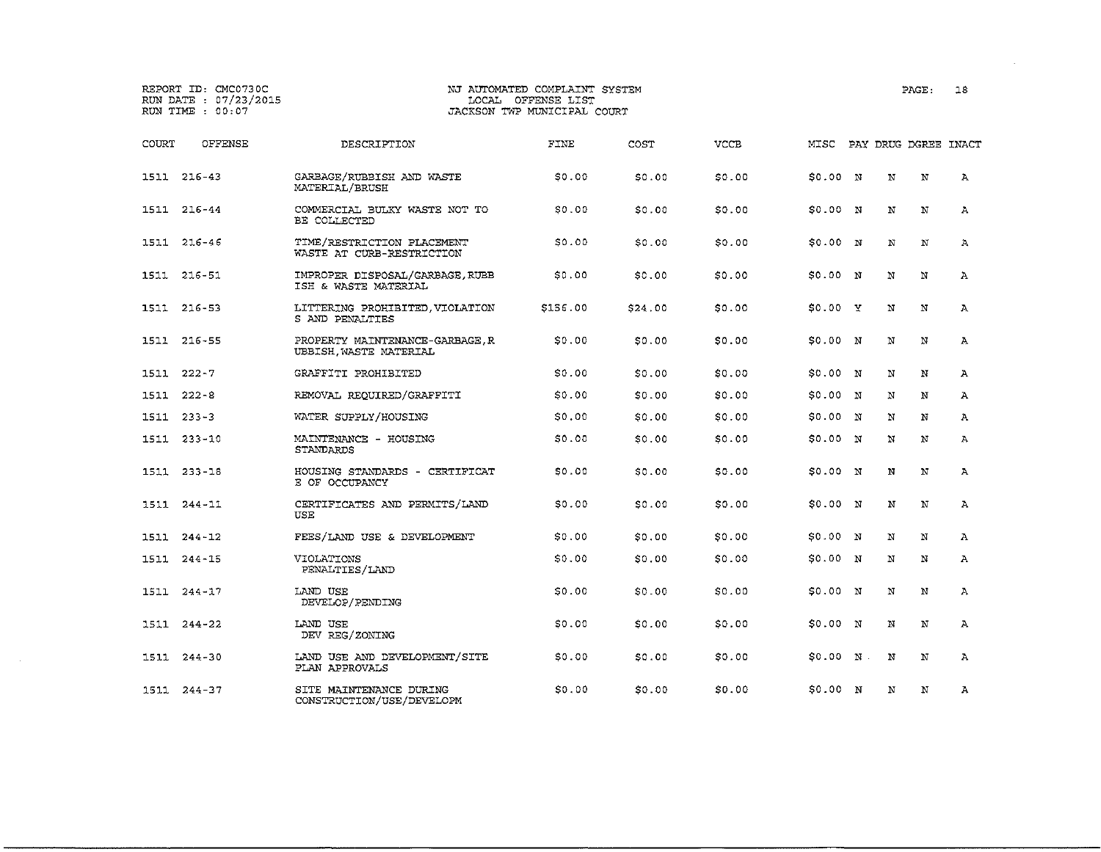REPORT ID: CMC0730C NJ AUTOMATED COMPLAINT SYSTEM PAGE: 18 RUN DATE :  $07/23/2015$ <br>RUN TIME :  $00:07$ JACKSON TWP MUNICIPAL COURT COURT OFFENSE DESCRIPTION FINE COST VCCE MISC PAY DRUG DGREE INACT 1511 216-43 GARBAGE/RUBBISH AND WASTE \$0.00 \$0.00 \$0.00 \$0.00 N N N A MATERIAL/BRUSH 1511 216-44 COMMERCIAL BULKY WASTE NOT TO \$0.00 \$0.00 \$0.00 \$0.00 <sup>N</sup> <sup>N</sup> <sup>N</sup> A BE COLLECTED 1511 216-46 TIME/RESTRICTION PLACEMENT \$0.00 \$0.00 \$0.00 \$0.00 <sup>N</sup> <sup>N</sup> <sup>N</sup> A WASTE AT CURB-RESTRICTION 1511 216-51 IMPROPER DISPOSAL/GARBAGE,RUBB \$0.00 \$0.00 \$0.00 \$0.00 <sup>N</sup> <sup>N</sup> <sup>N</sup> A ISH & WASTE MATERIAL 1511 216-53 LITTERING PROHIBITED,VIOLATION \$156.00 \$24.00 \$0.00 \$0.00 y N N A S AND PENALTIES 1511 216-55 PROPERTY MAINTENANCE-GARBAGE,R \$0.00 \$0.00 \$0.00 \$0.00 N N N A UBBISH,WASTE MATERIAL 1511 222-7 GRAFFITI PROHIBITED \$0.00 \$0.00 \$0.00 \$0.00 <sup>N</sup> <sup>N</sup> <sup>N</sup> A 1511 222-B REMOVAL REQUIRED/GRAFFITI \$0.00 \$0.00 \$0.00 \$0.00 <sup>N</sup> <sup>N</sup> <sup>N</sup> A 1511 233-3 WATER SUPPLY/HOUSING \$0.00 \$0.00 \$0.00 \$0.00 <sup>N</sup> <sup>N</sup> <sup>N</sup> A 1511 233-10 MAINTENANCE - HOUSING \$0.00 \$0.00 \$0.00 \$0.00 <sup>N</sup> <sup>N</sup> <sup>N</sup> A STANDARDS 1511 233-18 HOUSING STANDARDS - CERTIFICAT \$0.00 \$0.00 \$0.00 \$0.00 <sup>N</sup> <sup>N</sup> <sup>N</sup> A E OF OCCUPANCY 1511 244-11 CERTIFICATES AND PERMITS/LAND \$0.00 \$0.00 \$0.00 \$0.00 N N N A USE 1511 244-12 FEES/LAND USE & DEVELOPMENT \$0.00 \$0.00 \$0.00 \$0.00 N N N A 1511 244-15 VIOLATIONS \$0.00 \$0.00 \$0.00 \$0.00 <sup>N</sup> <sup>N</sup> <sup>N</sup> <sup>A</sup> PENALTIES/LAND 1511 244-17 LAND USE \$0.00 \$0.00 \$0.00 \$0.00 N N N A DEVELOP/PENDING 1511 244-22 LAND USE \$0.00 \$0.00 \$0.00 \$0.00 <sup>N</sup> <sup>N</sup> <sup>N</sup> A DEV REG/ZONING 1511 244-30 LAND USE AND DEVELOPMENT/SITE \$0.00 \$0.00 \$0.00 \$0.00 <sup>N</sup> <sup>N</sup> <sup>N</sup> <sup>A</sup> PLAN APPROVALS 1511 244-37 SITE MAINTENANCE DURING \$0.00 \$0.00 \$0.00 \$0.00 <sup>N</sup> <sup>N</sup> <sup>N</sup> <sup>A</sup> CONSTRUCTION/USE/DEVELOPM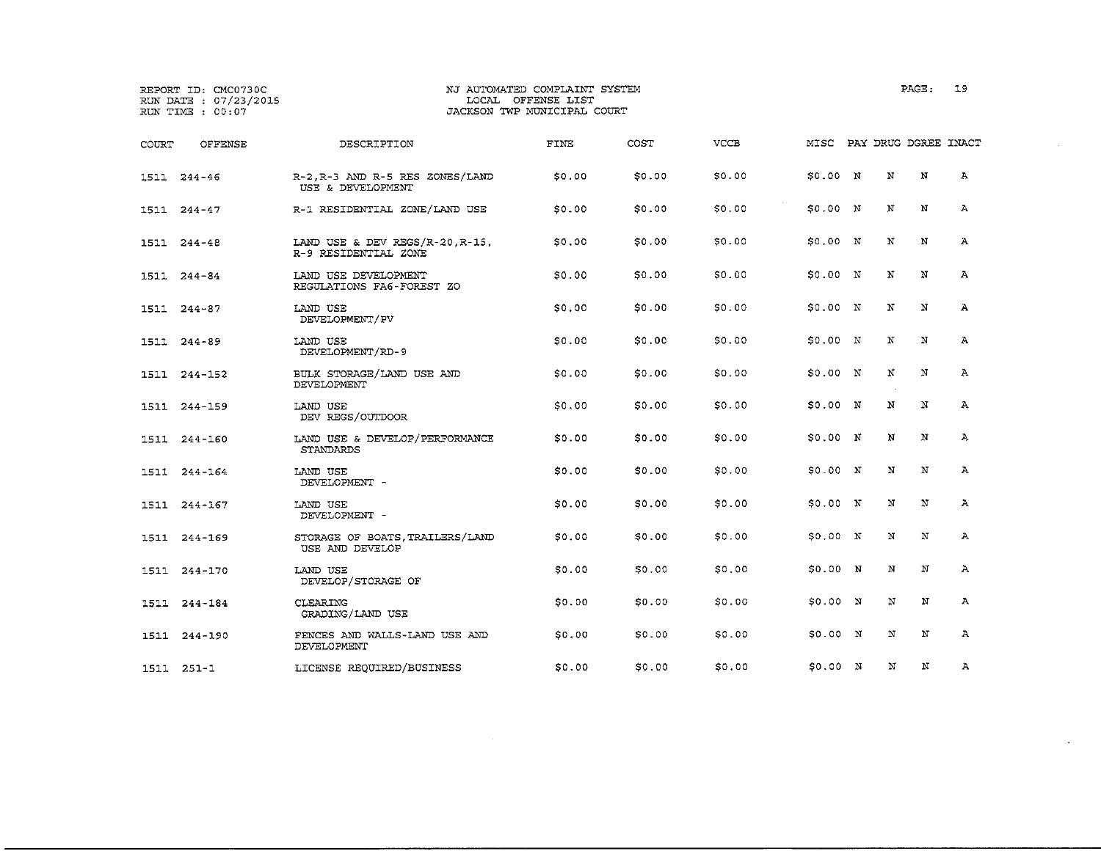|       | REPORT ID: CMC0730C<br>RUN DATE : 07/23/2015<br>RUN TIME : 00:07 |                                                         | NJ AUTOMATED COMPLAINT SYSTEM<br>LOCAL OFFENSE LIST<br>JACKSON TWP MUNICIPAL COURT |        |             |                           |   | PAGE: | 19           |
|-------|------------------------------------------------------------------|---------------------------------------------------------|------------------------------------------------------------------------------------|--------|-------------|---------------------------|---|-------|--------------|
| COURT | <b>OFFENSE</b>                                                   | DESCRIPTION                                             | FINE                                                                               | COST   | <b>VCCB</b> | MISC PAY DRUG DGREE INACT |   |       |              |
|       | 1511 244-46                                                      | R-2, R-3 AND R-5 RES ZONES/LAND<br>USE & DEVELOPMENT    | \$0,00                                                                             | \$0.00 | \$0.00      | S0.00 N                   | N | N     | А            |
|       | 1511 244-47                                                      | R-1 RESIDENTIAL ZONE/LAND USE                           | \$0.00                                                                             | \$0.00 | \$0.00      | \$0.00 N                  | N | N     | А            |
|       | 1511 244-48                                                      | LAND USE & DEV REGS/R-20, R-15,<br>R-9 RESIDENTIAL ZONE | S0.00                                                                              | \$0.00 | \$0.00      | S0.00 N                   | N | N     | А            |
|       | 1511 244-84                                                      | LAND USE DEVELOPMENT<br>REGULATIONS FA6-FOREST ZO       | \$0.00                                                                             | \$0.00 | \$0.00      | 50.00 N                   | N | N     | Α            |
|       | 1511 244-87                                                      | LAND USE<br>DEVELOPMENT/PV                              | \$0.00                                                                             | \$0.00 | \$0.00      | S0.00 N                   | N | N     | А            |
|       | 1511 244-89                                                      | LAND USE<br>DEVELOPMENT/RD-9                            | 50.00                                                                              | \$0.00 | \$0.00      | 50.00 N                   | N | N     | А            |
|       | 1511 244-152                                                     | BULK STORAGE/LAND USE AND<br>DEVELOPMENT                | \$0.00                                                                             | \$0.00 | \$0.00      | SO.00 N                   | N | N     | $\mathbf{A}$ |
|       | 1511 244-159                                                     | LAND USE<br>DEV REGS/OUTDOOR                            | \$0.00                                                                             | \$0.00 | \$0.00      | S0.00 N                   | N | N     | А            |
|       | 1511 244-160                                                     | LAND USE & DEVELOP/PERFORMANCE<br>STANDARDS             | SO,OO                                                                              | \$0.00 | \$0.00      | \$0.00 N                  | N | N     | $\Lambda$    |
|       | 1511 244-164                                                     | LAND USE<br>DEVELOPMENT -                               | S0.00                                                                              | \$0.00 | \$0.00      | \$0.00 N                  | N | N     | $\mathbf{A}$ |
|       | 1511 244-167                                                     | LAND USE<br>DEVELOPMENT -                               | SO.00                                                                              | \$0.00 | \$0.00      | \$0.00 N                  | N | N     | А            |
|       | 1511 244-169                                                     | STORAGE OF BOATS, TRAILERS/LAND<br>USE AND DEVELOP      | SO.00                                                                              | \$0.00 | \$0.00      | \$0.00 N                  | N | N     | Α            |
|       | 1511 244-170                                                     | LAND USE<br>DEVELOP/STORAGE OF                          | \$0.00                                                                             | \$0.00 | \$0.00      | 50.00 N                   | N | N     | $\mathbf{A}$ |
|       | 1511 244-184                                                     | <b>CLEARING</b><br>GRADING/LAND USE                     | 50.00                                                                              | \$0.00 | \$0.00      | \$0.00 N                  | N | N     | А            |
| 1511  | 244-190                                                          | FENCES AND WALLS-LAND USE AND<br>DEVELOPMENT            | \$0.00                                                                             | \$0.00 | \$0.00      | \$0.00 N                  | N | N     | А            |
|       | 1511 251-1                                                       | LICENSE REQUIRED/BUSINESS                               | 50.00                                                                              | \$0.00 | \$0.00      | S0.00 N                   | N | N     | А            |

 $\label{eq:2.1} \frac{1}{2} \int_{\mathbb{R}^3} \frac{1}{\sqrt{2}} \, \frac{1}{\sqrt{2}} \, \frac{1}{\sqrt{2}} \, \frac{1}{\sqrt{2}} \, \frac{1}{\sqrt{2}} \, \frac{1}{\sqrt{2}} \, \frac{1}{\sqrt{2}} \, \frac{1}{\sqrt{2}} \, \frac{1}{\sqrt{2}} \, \frac{1}{\sqrt{2}} \, \frac{1}{\sqrt{2}} \, \frac{1}{\sqrt{2}} \, \frac{1}{\sqrt{2}} \, \frac{1}{\sqrt{2}} \, \frac{1}{\sqrt{2}} \, \frac{1}{\sqrt{2}} \,$ 

 $\sim$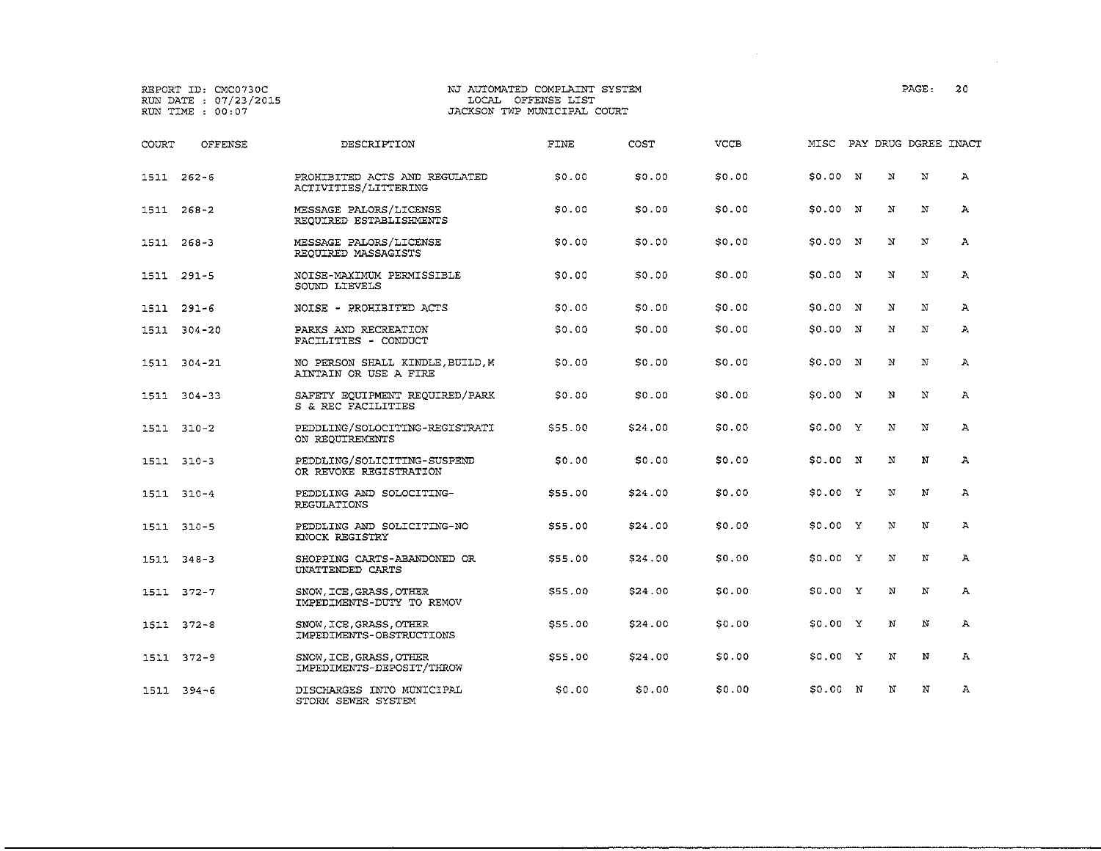|       | REPORT ID: CMC0730C<br>RUN DATE : 07/23/2015<br>RUN TIME : 00:07 |                                                           | NJ AUTOMATED COMPLAINT SYSTEM<br>LOCAL OFFENSE LIST<br>JACKSON TWP MUNICIPAL COURT |         |             |                           |   | PAGE:       | 20           |
|-------|------------------------------------------------------------------|-----------------------------------------------------------|------------------------------------------------------------------------------------|---------|-------------|---------------------------|---|-------------|--------------|
| COURT | OFFENSE                                                          | DESCRIPTION                                               | FINE                                                                               | COST    | <b>VCCB</b> | MISC PAY DRUG DGREE INACT |   |             |              |
|       | 1511 262-6                                                       | PROHIBITED ACTS AND REGULATED<br>ACTIVITIES/LITTERING     | 50.00                                                                              | \$0.00  | \$0.00      | \$0.00 N                  | N | N           | $\mathbf{A}$ |
|       | 1511 268-2                                                       | MESSAGE PALORS/LICENSE<br>REQUIRED ESTABLISHMENTS         | \$0.00                                                                             | \$0.00  | \$0.00      | \$0.00 N                  | N | N           | $\mathbf{A}$ |
|       | 1511 268-3                                                       | MESSAGE PALORS/LICENSE<br>REQUIRED MASSAGISTS             | \$0.00                                                                             | \$0.00  | \$0.00      | \$0.00 N                  | N | N           | $\mathbf{A}$ |
|       | 1511 291-5                                                       | NOISE-MAXIMUM PERMISSIBLE<br>SOUND LIEVELS                | 50.00                                                                              | \$0.00  | \$0.00      | \$0.00 N                  | N | N           | $\mathbf{A}$ |
|       | 1511 291-6                                                       | NOISE - PROHIBITED ACTS                                   | \$0.00                                                                             | \$0.00  | \$0.00      | \$0.00 N                  | N | N           | Ά            |
|       | 1511 304-20                                                      | PARKS AND RECREATION<br>FACILITIES - CONDUCT              | \$0.00                                                                             | \$0.00  | \$0.00      | \$0.00 N                  | N | $\mathbf N$ | $\mathbf{A}$ |
|       | 1511 304-21                                                      | NO PERSON SHALL KINDLE, BUILD, M<br>AINTAIN OR USE A FIRE | \$0.00                                                                             | \$0.00  | \$0.00      | \$0.00 N                  | N | N           | Α            |
|       | 1511 304-33                                                      | SAFETY EQUIPMENT REQUIRED/PARK<br>S & REC FACILITIES      | SO 00                                                                              | \$0.00  | \$0.00      | \$0.00 N                  | N | N           | $\mathbf{A}$ |
|       | 1511 310-2                                                       | PEDDLING/SOLOCITING-REGISTRATI<br>ON REOUIREMENTS         | \$55.00                                                                            | \$24.00 | \$0.00      | \$0.00 Y                  | N | $\mathbf N$ | $\mathbf{A}$ |
|       | 1511 310-3                                                       | PEDDLING/SOLICITING-SUSPEND<br>OR REVOKE REGISTRATION     | \$0.00                                                                             | \$0.00  | \$0.00      | \$0.00 N                  | N | N           | $\mathbf{A}$ |
|       | 1511 310-4                                                       | PEDDLING AND SOLOCITING-<br>REGULATIONS                   | \$55.00                                                                            | \$24,00 | \$0.00      | \$0.00 Y                  | N | N           | $\mathbf{A}$ |
|       | 1511 310-5                                                       | PEDDLING AND SOLICITING-NO<br>KNOCK REGISTRY              | \$55.00                                                                            | \$24.00 | \$0.00      | \$0.00 Y                  | N | N           | A            |
|       | 1511 348-3                                                       | SHOPPING CARTS-ABANDONED OR<br>UNATTENDED CARTS           | \$55.00                                                                            | \$24.00 | \$0.00      | \$0.00 Y                  | N | N           | $\mathbf{A}$ |
|       | 1511 372-7                                                       | SNOW, ICE, GRASS, OTHER<br>IMPEDIMENTS-DUTY TO REMOV      | \$55,00                                                                            | \$24.00 | \$0.00      | \$0.00 Y                  | N | N           | А            |
|       | 1511 372-8                                                       | SNOW, ICE, GRASS, OTHER<br>IMPEDIMENTS-OBSTRUCTIONS       | \$55.00                                                                            | \$24.00 | \$0.00      | \$0.00 Y                  | N | N           | Α            |
|       | 1511 372-9                                                       | SNOW, ICE, GRASS, OTHER<br>IMPEDIMENTS-DEPOSIT/THROW      | \$55.00                                                                            | \$24.00 | \$0.00      | \$0.00 Y                  | N | N           | $\mathbf{A}$ |
|       | 1511 394-6                                                       | DISCHARGES INTO MUNICIPAL<br>STORM SEWER SYSTEM           | \$0.00                                                                             | \$0.00  | \$0.00      | \$0.00 N                  | N | N           | $\mathbf{A}$ |

 $\sim 100$